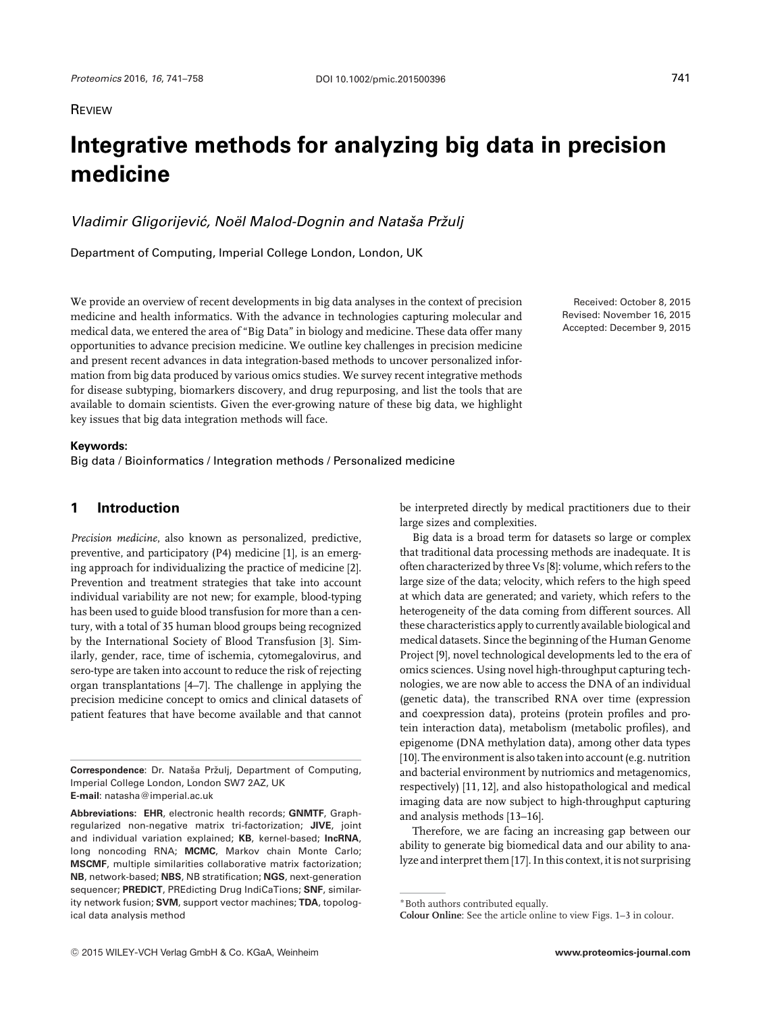# **Integrative methods for analyzing big data in precision medicine**

*Vladimir Gligorijević, Noël Malod-Dognin and Nataša Pržulj* 

Department of Computing, Imperial College London, London, UK

We provide an overview of recent developments in big data analyses in the context of precision medicine and health informatics. With the advance in technologies capturing molecular and medical data, we entered the area of "Big Data" in biology and medicine. These data offer many opportunities to advance precision medicine. We outline key challenges in precision medicine and present recent advances in data integration-based methods to uncover personalized information from big data produced by various omics studies. We survey recent integrative methods for disease subtyping, biomarkers discovery, and drug repurposing, and list the tools that are available to domain scientists. Given the ever-growing nature of these big data, we highlight key issues that big data integration methods will face.

#### **Keywords:**

Big data / Bioinformatics / Integration methods / Personalized medicine

# **1 Introduction**

*Precision medicine*, also known as personalized, predictive, preventive, and participatory (P4) medicine [1], is an emerging approach for individualizing the practice of medicine [2]. Prevention and treatment strategies that take into account individual variability are not new; for example, blood-typing has been used to guide blood transfusion for more than a century, with a total of 35 human blood groups being recognized by the International Society of Blood Transfusion [3]. Similarly, gender, race, time of ischemia, cytomegalovirus, and sero-type are taken into account to reduce the risk of rejecting organ transplantations [4–7]. The challenge in applying the precision medicine concept to omics and clinical datasets of patient features that have become available and that cannot

Correspondence: Dr. Nataša Pržulj, Department of Computing, Imperial College London, London SW7 2AZ, UK **E-mail**: natasha@imperial.ac.uk

**Abbreviations: EHR**, electronic health records; **GNMTF**, Graphregularized non-negative matrix tri-factorization; **JIVE**, joint and individual variation explained; **KB**, kernel-based; **lncRNA**, long noncoding RNA; **MCMC**, Markov chain Monte Carlo; **MSCMF**, multiple similarities collaborative matrix factorization; **NB**, network-based; **NBS**, NB stratification; **NGS**, next-generation sequencer; **PREDICT**, PREdicting Drug IndiCaTions; **SNF**, similarity network fusion; **SVM**, support vector machines; **TDA**, topological data analysis method

be interpreted directly by medical practitioners due to their

large sizes and complexities. Big data is a broad term for datasets so large or complex that traditional data processing methods are inadequate. It is often characterized by three Vs [8]: volume, which refers to the large size of the data; velocity, which refers to the high speed at which data are generated; and variety, which refers to the heterogeneity of the data coming from different sources. All these characteristics apply to currently available biological and medical datasets. Since the beginning of the Human Genome Project [9], novel technological developments led to the era of omics sciences. Using novel high-throughput capturing technologies, we are now able to access the DNA of an individual (genetic data), the transcribed RNA over time (expression and coexpression data), proteins (protein profiles and protein interaction data), metabolism (metabolic profiles), and epigenome (DNA methylation data), among other data types [10]. The environment is also taken into account (e.g. nutrition and bacterial environment by nutriomics and metagenomics, respectively) [11, 12], and also histopathological and medical imaging data are now subject to high-throughput capturing and analysis methods [13–16].

Therefore, we are facing an increasing gap between our ability to generate big biomedical data and our ability to analyze and interpret them [17]. In this context, it is not surprising

<sup>∗</sup>Both authors contributed equally.

**Colour Online**: See the article online to view Figs. 1–3 in colour.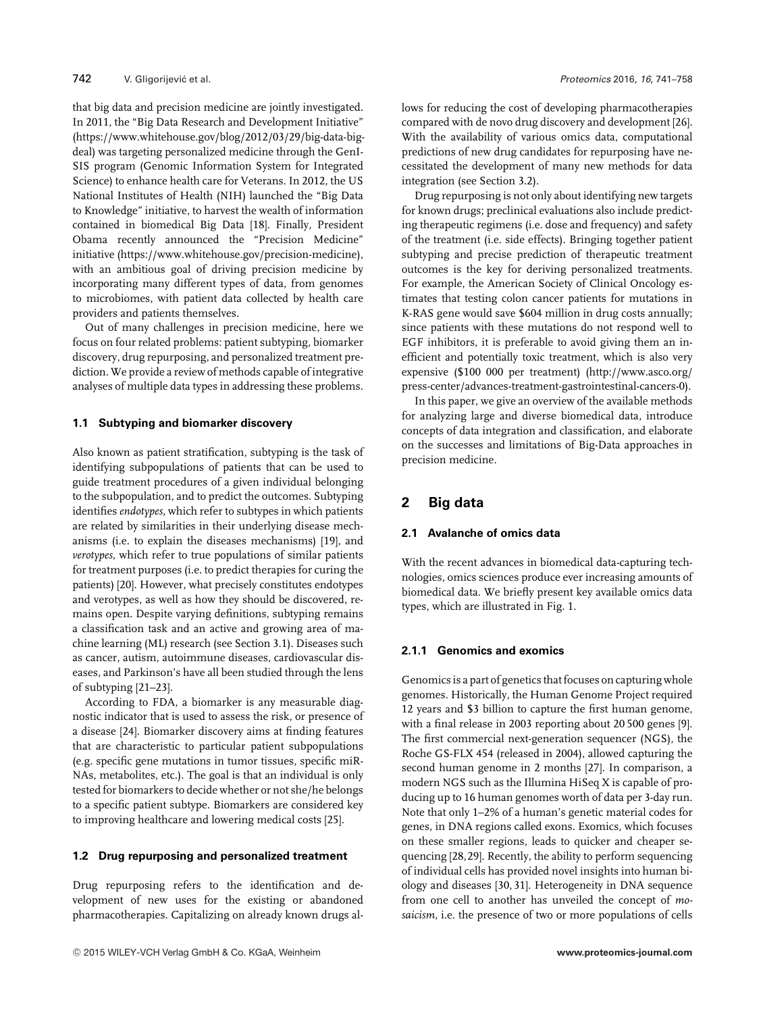that big data and precision medicine are jointly investigated. In 2011, the "Big Data Research and Development Initiative" [\(https://www.whitehouse.gov/blog/2012/03/29/big-data-big](https://www.whitehouse.gov/blog/2012/03/29/big-data-big-deal)[deal\)](https://www.whitehouse.gov/blog/2012/03/29/big-data-big-deal) was targeting personalized medicine through the GenI-SIS program (Genomic Information System for Integrated Science) to enhance health care for Veterans. In 2012, the US National Institutes of Health (NIH) launched the "Big Data to Knowledge" initiative, to harvest the wealth of information contained in biomedical Big Data [18]. Finally, President Obama recently announced the "Precision Medicine" initiative [\(https://www.whitehouse.gov/precision-medicine\)](https://www.whitehouse.gov/precision-medicine), with an ambitious goal of driving precision medicine by incorporating many different types of data, from genomes to microbiomes, with patient data collected by health care providers and patients themselves.

Out of many challenges in precision medicine, here we focus on four related problems: patient subtyping, biomarker discovery, drug repurposing, and personalized treatment prediction. We provide a review of methods capable of integrative analyses of multiple data types in addressing these problems.

## **1.1 Subtyping and biomarker discovery**

Also known as patient stratification, subtyping is the task of identifying subpopulations of patients that can be used to guide treatment procedures of a given individual belonging to the subpopulation, and to predict the outcomes. Subtyping identifies *endotypes*, which refer to subtypes in which patients are related by similarities in their underlying disease mechanisms (i.e. to explain the diseases mechanisms) [19], and *verotypes*, which refer to true populations of similar patients for treatment purposes (i.e. to predict therapies for curing the patients) [20]. However, what precisely constitutes endotypes and verotypes, as well as how they should be discovered, remains open. Despite varying definitions, subtyping remains a classification task and an active and growing area of machine learning (ML) research (see Section 3.1). Diseases such as cancer, autism, autoimmune diseases, cardiovascular diseases, and Parkinson's have all been studied through the lens of subtyping [21–23].

According to FDA, a biomarker is any measurable diagnostic indicator that is used to assess the risk, or presence of a disease [24]. Biomarker discovery aims at finding features that are characteristic to particular patient subpopulations (e.g. specific gene mutations in tumor tissues, specific miR-NAs, metabolites, etc.). The goal is that an individual is only tested for biomarkers to decide whether or not she/he belongs to a specific patient subtype. Biomarkers are considered key to improving healthcare and lowering medical costs [25].

#### **1.2 Drug repurposing and personalized treatment**

Drug repurposing refers to the identification and development of new uses for the existing or abandoned pharmacotherapies. Capitalizing on already known drugs allows for reducing the cost of developing pharmacotherapies compared with de novo drug discovery and development [26]. With the availability of various omics data, computational predictions of new drug candidates for repurposing have necessitated the development of many new methods for data integration (see Section 3.2).

Drug repurposing is not only about identifying new targets for known drugs; preclinical evaluations also include predicting therapeutic regimens (i.e. dose and frequency) and safety of the treatment (i.e. side effects). Bringing together patient subtyping and precise prediction of therapeutic treatment outcomes is the key for deriving personalized treatments. For example, the American Society of Clinical Oncology estimates that testing colon cancer patients for mutations in K-RAS gene would save \$604 million in drug costs annually; since patients with these mutations do not respond well to EGF inhibitors, it is preferable to avoid giving them an inefficient and potentially toxic treatment, which is also very expensive (\$100 000 per treatment) [\(http://www.asco.org/](http://www.asco.org/press-center/advances-treatment-gastrointestinal-cancers-0) [press-center/advances-treatment-gastrointestinal-cancers-0\)](http://www.asco.org/press-center/advances-treatment-gastrointestinal-cancers-0).

In this paper, we give an overview of the available methods for analyzing large and diverse biomedical data, introduce concepts of data integration and classification, and elaborate on the successes and limitations of Big-Data approaches in precision medicine.

# **2 Big data**

## **2.1 Avalanche of omics data**

With the recent advances in biomedical data-capturing technologies, omics sciences produce ever increasing amounts of biomedical data. We briefly present key available omics data types, which are illustrated in Fig. 1.

#### **2.1.1 Genomics and exomics**

Genomics is a part of genetics that focuses on capturing whole genomes. Historically, the Human Genome Project required 12 years and \$3 billion to capture the first human genome, with a final release in 2003 reporting about 20 500 genes [9]. The first commercial next-generation sequencer (NGS), the Roche GS-FLX 454 (released in 2004), allowed capturing the second human genome in 2 months [27]. In comparison, a modern NGS such as the Illumina HiSeq X is capable of producing up to 16 human genomes worth of data per 3-day run. Note that only 1–2% of a human's genetic material codes for genes, in DNA regions called exons. Exomics, which focuses on these smaller regions, leads to quicker and cheaper sequencing [28,29]. Recently, the ability to perform sequencing of individual cells has provided novel insights into human biology and diseases [30, 31]. Heterogeneity in DNA sequence from one cell to another has unveiled the concept of *mosaicism*, i.e. the presence of two or more populations of cells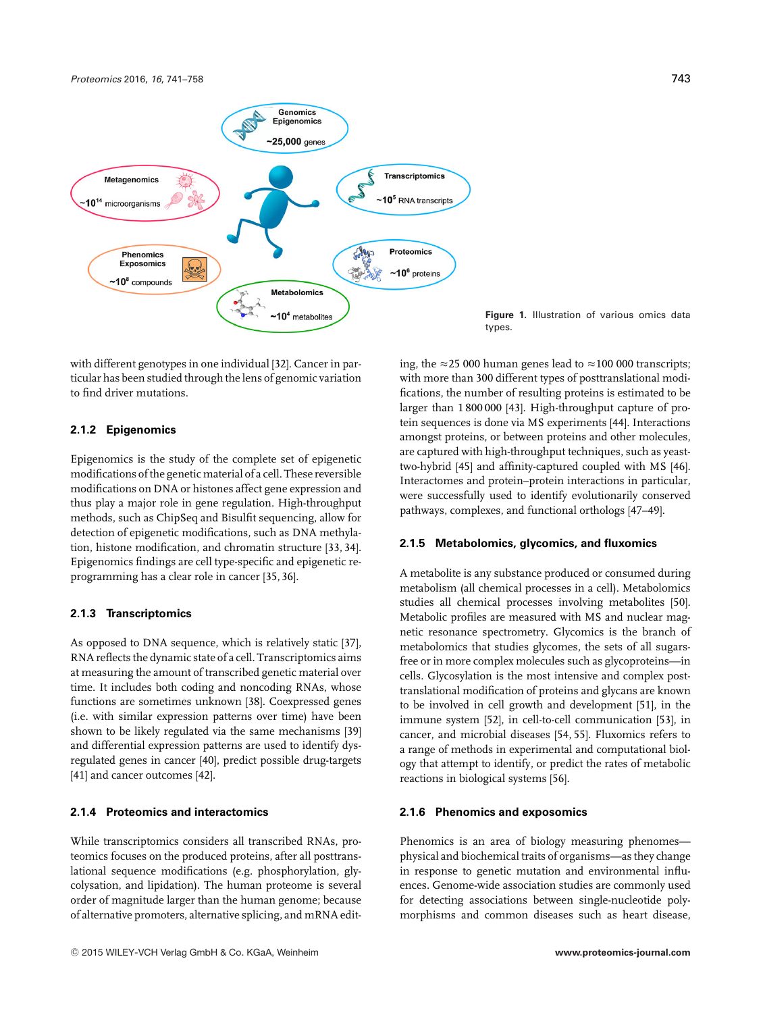

with different genotypes in one individual [32]. Cancer in particular has been studied through the lens of genomic variation to find driver mutations.

## **2.1.2 Epigenomics**

Epigenomics is the study of the complete set of epigenetic modifications of the genetic material of a cell. These reversible modifications on DNA or histones affect gene expression and thus play a major role in gene regulation. High-throughput methods, such as ChipSeq and Bisulfit sequencing, allow for detection of epigenetic modifications, such as DNA methylation, histone modification, and chromatin structure [33, 34]. Epigenomics findings are cell type-specific and epigenetic reprogramming has a clear role in cancer [35, 36].

## **2.1.3 Transcriptomics**

As opposed to DNA sequence, which is relatively static [37], RNA reflects the dynamic state of a cell. Transcriptomics aims at measuring the amount of transcribed genetic material over time. It includes both coding and noncoding RNAs, whose functions are sometimes unknown [38]. Coexpressed genes (i.e. with similar expression patterns over time) have been shown to be likely regulated via the same mechanisms [39] and differential expression patterns are used to identify dysregulated genes in cancer [40], predict possible drug-targets [41] and cancer outcomes [42].

#### **2.1.4 Proteomics and interactomics**

While transcriptomics considers all transcribed RNAs, proteomics focuses on the produced proteins, after all posttranslational sequence modifications (e.g. phosphorylation, glycolysation, and lipidation). The human proteome is several order of magnitude larger than the human genome; because of alternative promoters, alternative splicing, and mRNA edit-

**Figure 1.** Illustration of various omics data types.

ing, the  $\approx$  25 000 human genes lead to  $\approx$  100 000 transcripts; with more than 300 different types of posttranslational modifications, the number of resulting proteins is estimated to be larger than 1 800 000 [43]. High-throughput capture of protein sequences is done via MS experiments [44]. Interactions amongst proteins, or between proteins and other molecules, are captured with high-throughput techniques, such as yeasttwo-hybrid [45] and affinity-captured coupled with MS [46]. Interactomes and protein–protein interactions in particular, were successfully used to identify evolutionarily conserved pathways, complexes, and functional orthologs [47–49].

### **2.1.5 Metabolomics, glycomics, and fluxomics**

A metabolite is any substance produced or consumed during metabolism (all chemical processes in a cell). Metabolomics studies all chemical processes involving metabolites [50]. Metabolic profiles are measured with MS and nuclear magnetic resonance spectrometry. Glycomics is the branch of metabolomics that studies glycomes, the sets of all sugarsfree or in more complex molecules such as glycoproteins—in cells. Glycosylation is the most intensive and complex posttranslational modification of proteins and glycans are known to be involved in cell growth and development [51], in the immune system [52], in cell-to-cell communication [53], in cancer, and microbial diseases [54, 55]. Fluxomics refers to a range of methods in experimental and computational biology that attempt to identify, or predict the rates of metabolic reactions in biological systems [56].

#### **2.1.6 Phenomics and exposomics**

Phenomics is an area of biology measuring phenomes physical and biochemical traits of organisms—as they change in response to genetic mutation and environmental influences. Genome-wide association studies are commonly used for detecting associations between single-nucleotide polymorphisms and common diseases such as heart disease,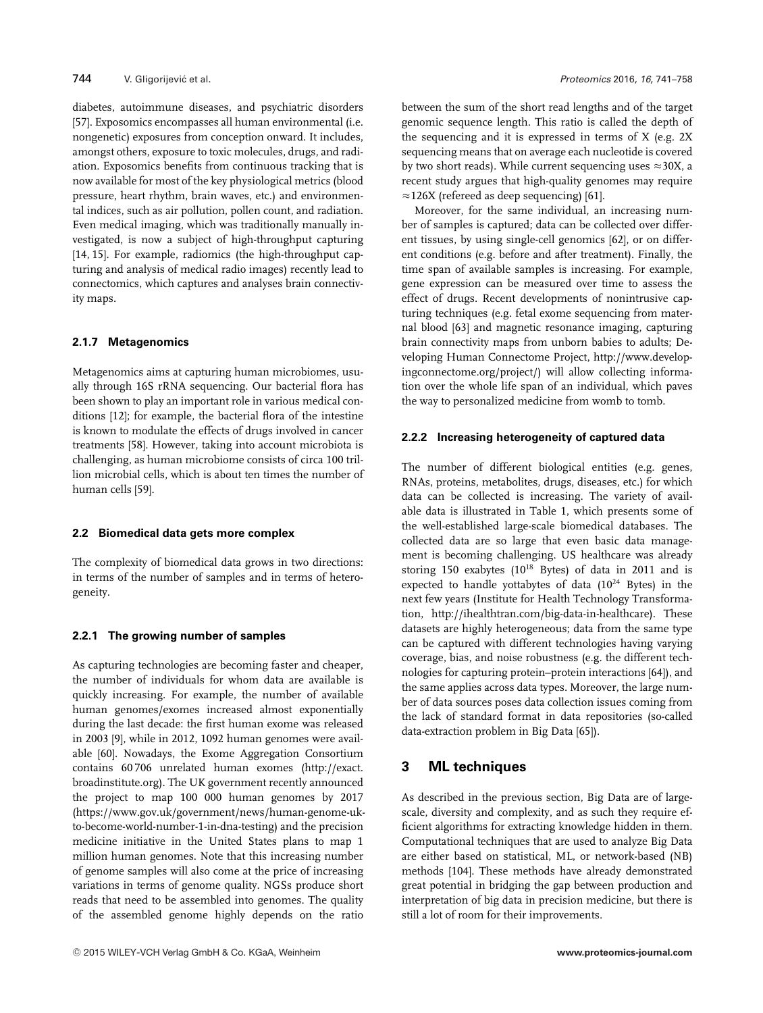diabetes, autoimmune diseases, and psychiatric disorders [57]. Exposomics encompasses all human environmental (i.e. nongenetic) exposures from conception onward. It includes, amongst others, exposure to toxic molecules, drugs, and radiation. Exposomics benefits from continuous tracking that is now available for most of the key physiological metrics (blood pressure, heart rhythm, brain waves, etc.) and environmental indices, such as air pollution, pollen count, and radiation. Even medical imaging, which was traditionally manually investigated, is now a subject of high-throughput capturing [14, 15]. For example, radiomics (the high-throughput capturing and analysis of medical radio images) recently lead to connectomics, which captures and analyses brain connectivity maps.

## **2.1.7 Metagenomics**

Metagenomics aims at capturing human microbiomes, usually through 16S rRNA sequencing. Our bacterial flora has been shown to play an important role in various medical conditions [12]; for example, the bacterial flora of the intestine is known to modulate the effects of drugs involved in cancer treatments [58]. However, taking into account microbiota is challenging, as human microbiome consists of circa 100 trillion microbial cells, which is about ten times the number of human cells [59].

## **2.2 Biomedical data gets more complex**

The complexity of biomedical data grows in two directions: in terms of the number of samples and in terms of heterogeneity.

## **2.2.1 The growing number of samples**

As capturing technologies are becoming faster and cheaper, the number of individuals for whom data are available is quickly increasing. For example, the number of available human genomes/exomes increased almost exponentially during the last decade: the first human exome was released in 2003 [9], while in 2012, 1092 human genomes were available [60]. Nowadays, the Exome Aggregation Consortium contains 60 706 unrelated human exomes [\(http://exact.](http://exact.broadinstitute.org) [broadinstitute.org\)](http://exact.broadinstitute.org). The UK government recently announced the project to map 100 000 human genomes by 2017 [\(https://www.gov.uk/government/news/human-genome-uk](https://www.gov.uk/government/news/human-genome-uk-to-become-world-number-1-in-dna-testing)[to-become-world-number-1-in-dna-testing\)](https://www.gov.uk/government/news/human-genome-uk-to-become-world-number-1-in-dna-testing) and the precision medicine initiative in the United States plans to map 1 million human genomes. Note that this increasing number of genome samples will also come at the price of increasing variations in terms of genome quality. NGSs produce short reads that need to be assembled into genomes. The quality of the assembled genome highly depends on the ratio between the sum of the short read lengths and of the target genomic sequence length. This ratio is called the depth of the sequencing and it is expressed in terms of X (e.g. 2X sequencing means that on average each nucleotide is covered by two short reads). While current sequencing uses  $\approx$  30X, a recent study argues that high-quality genomes may require  $\approx$  126X (refereed as deep sequencing) [61].

Moreover, for the same individual, an increasing number of samples is captured; data can be collected over different tissues, by using single-cell genomics [62], or on different conditions (e.g. before and after treatment). Finally, the time span of available samples is increasing. For example, gene expression can be measured over time to assess the effect of drugs. Recent developments of nonintrusive capturing techniques (e.g. fetal exome sequencing from maternal blood [63] and magnetic resonance imaging, capturing brain connectivity maps from unborn babies to adults; Developing Human Connectome Project, [http://www.develop](http://www.developingconnectome.org/project/)[ingconnectome.org/project/\)](http://www.developingconnectome.org/project/) will allow collecting information over the whole life span of an individual, which paves the way to personalized medicine from womb to tomb.

## **2.2.2 Increasing heterogeneity of captured data**

The number of different biological entities (e.g. genes, RNAs, proteins, metabolites, drugs, diseases, etc.) for which data can be collected is increasing. The variety of available data is illustrated in Table 1, which presents some of the well-established large-scale biomedical databases. The collected data are so large that even basic data management is becoming challenging. US healthcare was already storing 150 exabytes  $(10^{18}$  Bytes) of data in 2011 and is expected to handle yottabytes of data  $(10^{24}$  Bytes) in the next few years (Institute for Health Technology Transformation, [http://ihealthtran.com/big-data-in-healthcare\)](http://ihealthtran.com/big-data-in-healthcare). These datasets are highly heterogeneous; data from the same type can be captured with different technologies having varying coverage, bias, and noise robustness (e.g. the different technologies for capturing protein–protein interactions [64]), and the same applies across data types. Moreover, the large number of data sources poses data collection issues coming from the lack of standard format in data repositories (so-called data-extraction problem in Big Data [65]).

# **3 ML techniques**

As described in the previous section, Big Data are of largescale, diversity and complexity, and as such they require efficient algorithms for extracting knowledge hidden in them. Computational techniques that are used to analyze Big Data are either based on statistical, ML, or network-based (NB) methods [104]. These methods have already demonstrated great potential in bridging the gap between production and interpretation of big data in precision medicine, but there is still a lot of room for their improvements.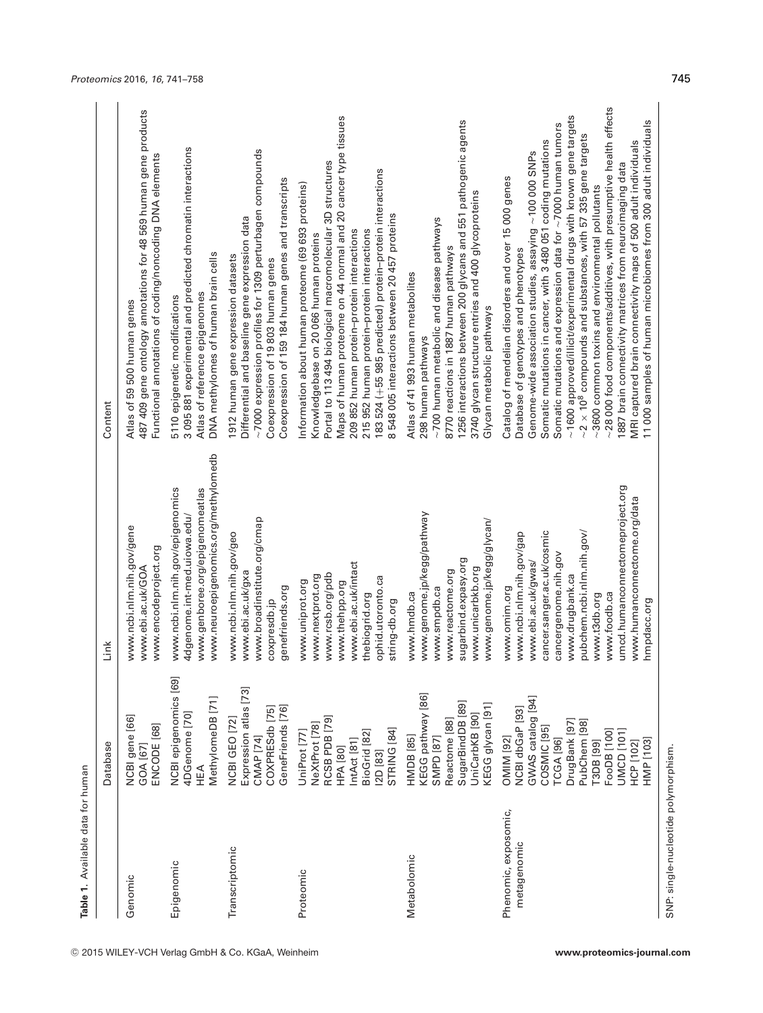| Table 1. Available data for human    |                                                                                                                                                                                                                        |                                                                                                                                                                                                                                                                                         |                                                                                                                                                                                                                                                                                                                                                                                                                                                                                                                                                                                                                                                                                                                                                                                          |
|--------------------------------------|------------------------------------------------------------------------------------------------------------------------------------------------------------------------------------------------------------------------|-----------------------------------------------------------------------------------------------------------------------------------------------------------------------------------------------------------------------------------------------------------------------------------------|------------------------------------------------------------------------------------------------------------------------------------------------------------------------------------------------------------------------------------------------------------------------------------------------------------------------------------------------------------------------------------------------------------------------------------------------------------------------------------------------------------------------------------------------------------------------------------------------------------------------------------------------------------------------------------------------------------------------------------------------------------------------------------------|
|                                      | Database                                                                                                                                                                                                               | Link                                                                                                                                                                                                                                                                                    | Content                                                                                                                                                                                                                                                                                                                                                                                                                                                                                                                                                                                                                                                                                                                                                                                  |
| Genomic                              | NCBI gene [66]                                                                                                                                                                                                         | www.ncbi.nlm.nih.gov/gene                                                                                                                                                                                                                                                               | 487 409 gene ontology annotations for 48 569 human gene products                                                                                                                                                                                                                                                                                                                                                                                                                                                                                                                                                                                                                                                                                                                         |
|                                      | ENCODE [68]                                                                                                                                                                                                            | www.encodeproject.org                                                                                                                                                                                                                                                                   | Functional annotations of coding/noncoding DNA elements                                                                                                                                                                                                                                                                                                                                                                                                                                                                                                                                                                                                                                                                                                                                  |
|                                      | GOA [67]                                                                                                                                                                                                               | www.ebi.ac.uk/GOA                                                                                                                                                                                                                                                                       | Atlas of 59 500 human genes                                                                                                                                                                                                                                                                                                                                                                                                                                                                                                                                                                                                                                                                                                                                                              |
| Epigenomic                           | NCBI epigenomics [69]                                                                                                                                                                                                  | www.neuroepigenomics.org/methylomedb                                                                                                                                                                                                                                                    | 3 095 881 experimental and predicted chromatin interactions                                                                                                                                                                                                                                                                                                                                                                                                                                                                                                                                                                                                                                                                                                                              |
|                                      | MethylomeDB [71]                                                                                                                                                                                                       | www.ncbi.nlm.nih.gov/epigenomics                                                                                                                                                                                                                                                        | DNA methylomes of human brain cells                                                                                                                                                                                                                                                                                                                                                                                                                                                                                                                                                                                                                                                                                                                                                      |
|                                      | 4DGenome [70]                                                                                                                                                                                                          | www.genboree.org/epigenomeatlas                                                                                                                                                                                                                                                         | Atlas of reference epigenomes                                                                                                                                                                                                                                                                                                                                                                                                                                                                                                                                                                                                                                                                                                                                                            |
|                                      | HEA                                                                                                                                                                                                                    | 4dgenome.int-med.uiowa.edu/                                                                                                                                                                                                                                                             | 5110 epigenetic modifications                                                                                                                                                                                                                                                                                                                                                                                                                                                                                                                                                                                                                                                                                                                                                            |
| Transcriptomic                       | Expression atlas [73]                                                                                                                                                                                                  | www.broadinstitute.org/cmap                                                                                                                                                                                                                                                             | $\sim$ 7000 expression profiles for 1309 perturbagen compounds                                                                                                                                                                                                                                                                                                                                                                                                                                                                                                                                                                                                                                                                                                                           |
|                                      | GeneFriends [76]                                                                                                                                                                                                       | www.ncbi.nlm.nih.gov/geo                                                                                                                                                                                                                                                                | Coexpression of 159 184 human genes and transcripts                                                                                                                                                                                                                                                                                                                                                                                                                                                                                                                                                                                                                                                                                                                                      |
|                                      | COXPRESdb [75]                                                                                                                                                                                                         | www.ebi.ac.uk/gxa                                                                                                                                                                                                                                                                       | Differential and baseline gene expression data                                                                                                                                                                                                                                                                                                                                                                                                                                                                                                                                                                                                                                                                                                                                           |
|                                      | NCBI GEO [72]                                                                                                                                                                                                          | genefriends.org                                                                                                                                                                                                                                                                         | 1912 human gene expression datasets                                                                                                                                                                                                                                                                                                                                                                                                                                                                                                                                                                                                                                                                                                                                                      |
|                                      | CMAP [74]                                                                                                                                                                                                              | coxpresdb.jp                                                                                                                                                                                                                                                                            | Coexpression of 19 803 human genes                                                                                                                                                                                                                                                                                                                                                                                                                                                                                                                                                                                                                                                                                                                                                       |
| Proteomic                            | RCSB PDB [79]                                                                                                                                                                                                          | www.ebi.ac.uk/intact                                                                                                                                                                                                                                                                    | Maps of human proteome on 44 normal and 20 cancer type tissues                                                                                                                                                                                                                                                                                                                                                                                                                                                                                                                                                                                                                                                                                                                           |
|                                      | NeXtProt [78]                                                                                                                                                                                                          | www.rcsb.org/pdb                                                                                                                                                                                                                                                                        | Portal to 113 494 biological macromolecular 3D structures                                                                                                                                                                                                                                                                                                                                                                                                                                                                                                                                                                                                                                                                                                                                |
|                                      | STRING [84]                                                                                                                                                                                                            | www.nextprot.org                                                                                                                                                                                                                                                                        | 183 524 (+55 985 predicted) protein-protein interactions                                                                                                                                                                                                                                                                                                                                                                                                                                                                                                                                                                                                                                                                                                                                 |
|                                      | UniProt [77]                                                                                                                                                                                                           | ophid.utoronto.ca                                                                                                                                                                                                                                                                       | Information about human proteome (69 693 proteins)                                                                                                                                                                                                                                                                                                                                                                                                                                                                                                                                                                                                                                                                                                                                       |
|                                      | BioGrid [82]                                                                                                                                                                                                           | www.uniprot.org                                                                                                                                                                                                                                                                         | 8 548 005 interactions between 20 457 proteins                                                                                                                                                                                                                                                                                                                                                                                                                                                                                                                                                                                                                                                                                                                                           |
|                                      | IntAct [81]                                                                                                                                                                                                            | www.thehpp.org                                                                                                                                                                                                                                                                          | 209 852 human protein-protein interactions                                                                                                                                                                                                                                                                                                                                                                                                                                                                                                                                                                                                                                                                                                                                               |
|                                      | HPA [80]                                                                                                                                                                                                               | thebiogrid.org                                                                                                                                                                                                                                                                          | 215 952 human protein-protein interactions                                                                                                                                                                                                                                                                                                                                                                                                                                                                                                                                                                                                                                                                                                                                               |
|                                      | <b>I2D</b> [83]                                                                                                                                                                                                        | string-db.org                                                                                                                                                                                                                                                                           | Knowledgebase on 20 066 human proteins                                                                                                                                                                                                                                                                                                                                                                                                                                                                                                                                                                                                                                                                                                                                                   |
| Metabolomic                          | KEGG pathway [86]                                                                                                                                                                                                      | www.genome.jp/kegg/pathway                                                                                                                                                                                                                                                              | 1256 interactions between 200 glycans and 551 pathogenic agents                                                                                                                                                                                                                                                                                                                                                                                                                                                                                                                                                                                                                                                                                                                          |
|                                      | SugarBindDB [89]                                                                                                                                                                                                       | www.genome.jp/kegg/glycan/                                                                                                                                                                                                                                                              | 3740 glycan structure entries and 400 glycoproteins                                                                                                                                                                                                                                                                                                                                                                                                                                                                                                                                                                                                                                                                                                                                      |
|                                      | KEGG glycan [91]                                                                                                                                                                                                       | sugarbind.expasy.org                                                                                                                                                                                                                                                                    | ~700 human metabolic and disease pathways                                                                                                                                                                                                                                                                                                                                                                                                                                                                                                                                                                                                                                                                                                                                                |
|                                      | UniCarbKB [90]                                                                                                                                                                                                         | www.unicarbkb.org                                                                                                                                                                                                                                                                       | 8770 reactions in 1887 human pathways                                                                                                                                                                                                                                                                                                                                                                                                                                                                                                                                                                                                                                                                                                                                                    |
|                                      | Reactome [88]                                                                                                                                                                                                          | www.reactome.org                                                                                                                                                                                                                                                                        | Atlas of 41 993 human metabolites                                                                                                                                                                                                                                                                                                                                                                                                                                                                                                                                                                                                                                                                                                                                                        |
|                                      | HMDB [85]                                                                                                                                                                                                              | www.smpdb.ca                                                                                                                                                                                                                                                                            | Glycan metabolic pathways                                                                                                                                                                                                                                                                                                                                                                                                                                                                                                                                                                                                                                                                                                                                                                |
|                                      | <b>SMPD</b> [87]                                                                                                                                                                                                       | www.hmdb.ca                                                                                                                                                                                                                                                                             | 298 human pathways                                                                                                                                                                                                                                                                                                                                                                                                                                                                                                                                                                                                                                                                                                                                                                       |
| Phenomic, exposomic,<br>metagenomic  | GWAS catalog [94]<br>NCBI dbGaP [93]<br>PubChem <sup>[98]</sup><br>DrugBank [97]<br>COSMIC <sub>[95]</sub><br>FooDB [100]<br>UMCD [101]<br><b>OMIM [92]</b><br><b>TCGA</b> [96]<br>HMP [103]<br>[3DB [99]<br>HCP [102] | umcd.humanconnectomeproject.org<br>www.humanconnectome.org/data<br>cancer.sanger.ac.uk/cosmic<br>pubchem.ncbi.nlm.nih.gov/<br>www.ncbi.nlm.nih.gov/gap<br>cancergenome.nih.gov<br>www.ebi.ac.uk/gwas/<br>www.drugbank.ca<br>www.omim.org<br>www.foodb.ca<br>www.t3db.org<br>hmpdacc.org | ~28 000 food components/additives, with presumptive health effects<br>$\sim$ 1600 approved/illicit/experimental drugs with known gene targets<br>11 000 samples of human microbiomes from 300 adult individuals<br>Somatic mutations and expression data for $\sim$ 7000 human tumors<br>$\sim$ 2 $\times$ 10 <sup>8</sup> compounds and substances, with 57 335 gene targets<br>Somatic mutations in cancer, with 3 480 051 coding mutations<br>MRI captured brain connectivity maps of 500 adult individuals<br>Genome-wide association studies, assaying ~100 000 SNPs<br>1887 brain connectivity matrices from neuroimaging data<br>Catalog of mendelian disorders and over 15 000 genes<br>~3600 common toxins and environmental pollutants<br>Database of genotypes and phenotypes |
| SNP: single-nucleotide polymorphism. |                                                                                                                                                                                                                        |                                                                                                                                                                                                                                                                                         |                                                                                                                                                                                                                                                                                                                                                                                                                                                                                                                                                                                                                                                                                                                                                                                          |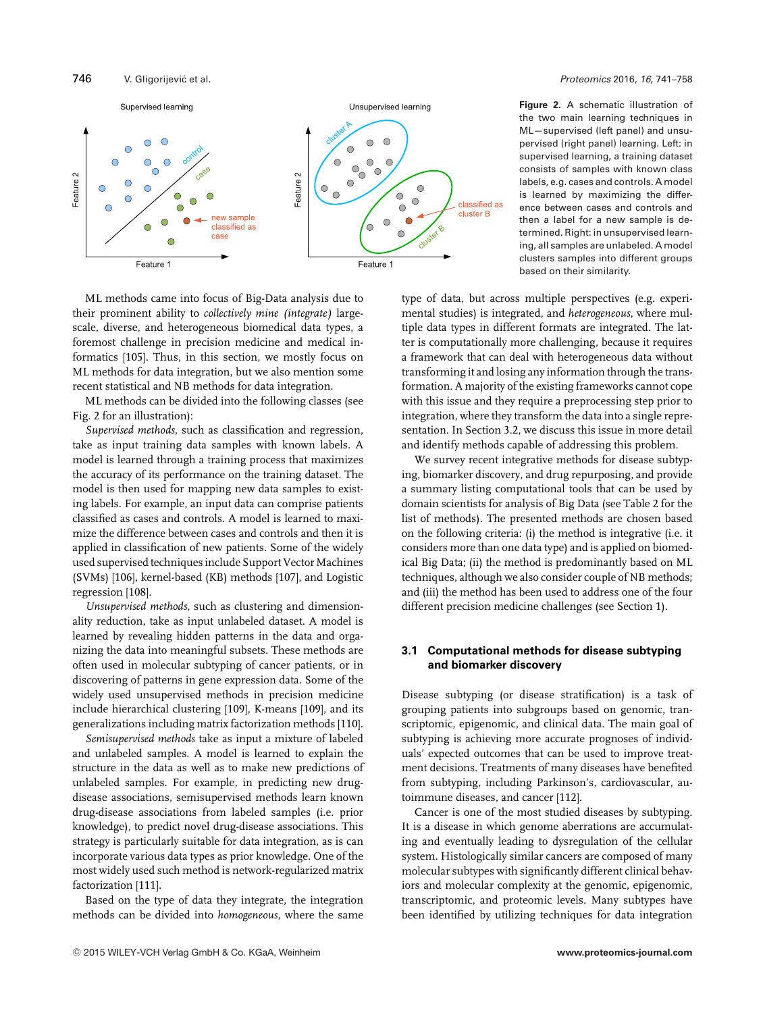



ML—supervised (left panel) and unsupervised (right panel) learning. Left: in supervised learning, a training dataset consists of samples with known class labels, e.g. cases and controls. A model is learned by maximizing the difference between cases and controls and then a label for a new sample is determined. Right: in unsupervised learning, all samples are unlabeled. A model clusters samples into different groups based on their similarity.

ML methods came into focus of Big-Data analysis due to their prominent ability to *collectively mine (integrate)* largescale, diverse, and heterogeneous biomedical data types, a foremost challenge in precision medicine and medical informatics [105]. Thus, in this section, we mostly focus on ML methods for data integration, but we also mention some recent statistical and NB methods for data integration.

ML methods can be divided into the following classes (see Fig. 2 for an illustration):

*Supervised methods*, such as classification and regression, take as input training data samples with known labels. A model is learned through a training process that maximizes the accuracy of its performance on the training dataset. The model is then used for mapping new data samples to existing labels. For example, an input data can comprise patients classified as cases and controls. A model is learned to maximize the difference between cases and controls and then it is applied in classification of new patients. Some of the widely used supervised techniques include Support Vector Machines (SVMs) [106], kernel-based (KB) methods [107], and Logistic regression [108].

*Unsupervised methods*, such as clustering and dimensionality reduction, take as input unlabeled dataset. A model is learned by revealing hidden patterns in the data and organizing the data into meaningful subsets. These methods are often used in molecular subtyping of cancer patients, or in discovering of patterns in gene expression data. Some of the widely used unsupervised methods in precision medicine include hierarchical clustering [109], K-means [109], and its generalizations including matrix factorization methods [110].

*Semisupervised methods* take as input a mixture of labeled and unlabeled samples. A model is learned to explain the structure in the data as well as to make new predictions of unlabeled samples. For example, in predicting new drugdisease associations, semisupervised methods learn known drug-disease associations from labeled samples (i.e. prior knowledge), to predict novel drug-disease associations. This strategy is particularly suitable for data integration, as is can incorporate various data types as prior knowledge. One of the most widely used such method is network-regularized matrix factorization [111].

Based on the type of data they integrate, the integration methods can be divided into *homogeneous*, where the same type of data, but across multiple perspectives (e.g. experimental studies) is integrated, and *heterogeneous*, where multiple data types in different formats are integrated. The latter is computationally more challenging, because it requires a framework that can deal with heterogeneous data without transforming it and losing any information through the transformation. A majority of the existing frameworks cannot cope with this issue and they require a preprocessing step prior to integration, where they transform the data into a single representation. In Section 3.2, we discuss this issue in more detail and identify methods capable of addressing this problem.

We survey recent integrative methods for disease subtyping, biomarker discovery, and drug repurposing, and provide a summary listing computational tools that can be used by domain scientists for analysis of Big Data (see Table 2 for the list of methods). The presented methods are chosen based on the following criteria: (i) the method is integrative (i.e. it considers more than one data type) and is applied on biomedical Big Data; (ii) the method is predominantly based on ML techniques, although we also consider couple of NB methods; and (iii) the method has been used to address one of the four different precision medicine challenges (see Section 1).

# **3.1 Computational methods for disease subtyping and biomarker discovery**

Disease subtyping (or disease stratification) is a task of grouping patients into subgroups based on genomic, transcriptomic, epigenomic, and clinical data. The main goal of subtyping is achieving more accurate prognoses of individuals' expected outcomes that can be used to improve treatment decisions. Treatments of many diseases have benefited from subtyping, including Parkinson's, cardiovascular, autoimmune diseases, and cancer [112].

Cancer is one of the most studied diseases by subtyping. It is a disease in which genome aberrations are accumulating and eventually leading to dysregulation of the cellular system. Histologically similar cancers are composed of many molecular subtypes with significantly different clinical behaviors and molecular complexity at the genomic, epigenomic, transcriptomic, and proteomic levels. Many subtypes have been identified by utilizing techniques for data integration

**Figure 2.** A schematic illustration of the two main learning techniques in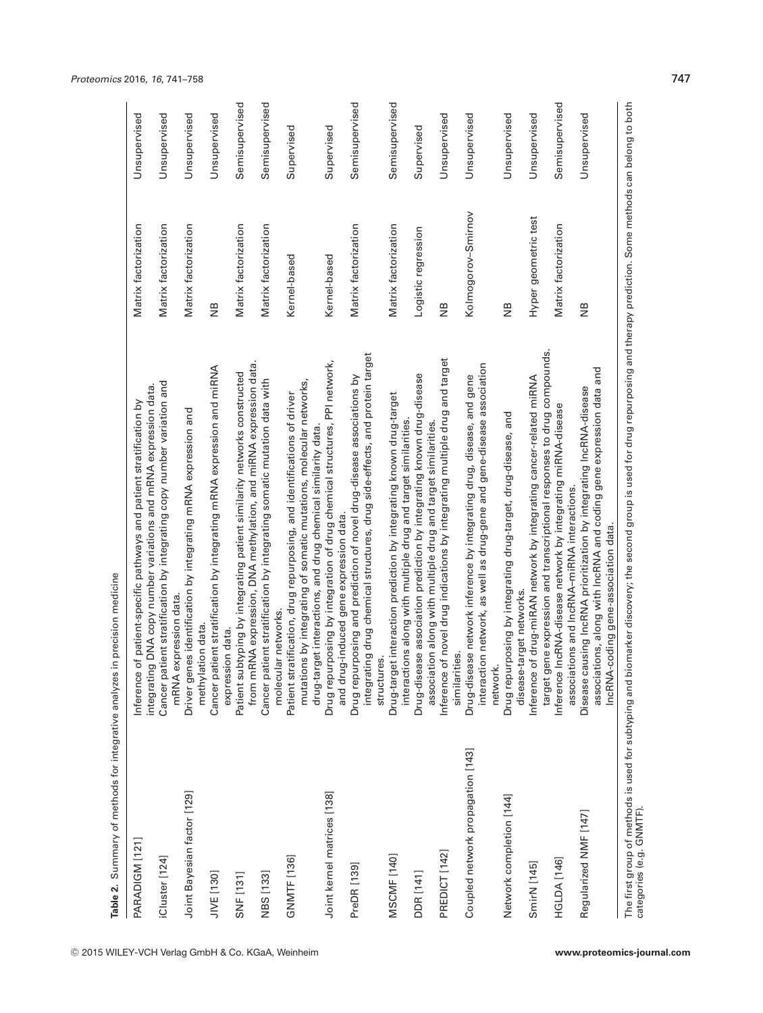| PARADIGM [121]                    | Inference of patient-specific pathways and patient stratification by                                                                                                                                         | Matrix factorization | Unsupervised   |
|-----------------------------------|--------------------------------------------------------------------------------------------------------------------------------------------------------------------------------------------------------------|----------------------|----------------|
| Cluster [124]                     | Cancer patient stratification by integrating copy number variation and<br>integrating DNA copy number variations and mRNA expression data.<br>mRNA expression data                                           | Matrix factorization | Unsupervised   |
| Joint Bayesian factor [129]       | Driver genes identification by integrating mRNA expression and<br>methylation data.                                                                                                                          | Matrix factorization | Unsupervised   |
| JIVE [130]                        | Cancer patient stratification by integrating mRNA expression and miRNA                                                                                                                                       | $\frac{1}{2}$        | Unsupervised   |
| <b>SNF</b> [131]                  | mRNA expression, DNA methylation, and miRNA expression data.<br>Patient subtyping by integrating patient similarity networks constructed<br>expression data.<br>from r                                       | Matrix factorization | Semisupervised |
| NBS [133]                         | Cancer patient stratification by integrating somatic mutation data with<br>molecular networks.                                                                                                               | Matrix factorization | Semisupervised |
| GNMTF[136]                        | mutations by integrating of somatic mutations, molecular networks,<br>Patient stratification, drug repurposing, and identifications of driver<br>drug-target interactions, and drug chemical similarity data | Kernel-based         | Supervised     |
| Joint kernel matrices [138]       | Drug repurposing by integration of drug chemical structures, PPI network,<br>and drug-induced gene expression data.                                                                                          | Kernel-based         | Supervised     |
| PreDR [139]                       | integrating drug chemical structures, drug side-effects, and protein target<br>Drug repurposing and prediction of novel drug-disease associations by<br>structures.                                          | Matrix factorization | Semisupervised |
| MSCMF [140]                       | Drug-target interaction prediction by integrating known drug-target<br>interactions along with multiple drug and target similarities                                                                         | Matrix factorization | Semisupervised |
| DDR [141]                         | Drug-disease association prediction by integrating known drug-disease<br>association along with multiple drug and target similarities.                                                                       | Logistic regression  | Supervised     |
| PREDICT [142]                     | Inference of novel drug indications by integrating multiple drug and target<br>similarities.                                                                                                                 | $\frac{8}{2}$        | Unsupervised   |
| Coupled network propagation [143] | interaction network, as well as drug-gene and gene-disease association<br>Drug-disease network inference by integrating drug, disease, and gene<br>network                                                   | Kolmogorov-Smirnov   | Unsupervised   |
| Network completion [144]          | Drug repurposing by integrating drug-target, drug-disease, and<br>disease-target networks.                                                                                                                   | $\frac{8}{2}$        | Unsupervised   |
| SmirN [145]                       | target gene expression and transcriptional responses to drug compounds.<br>Inference of drug-miRAN network by integrating cancer-related miRNA                                                               | Hyper geometric test | Unsupervised   |
| <b>HGLDA</b> [146]                | Inference IncRNA-disease network by integrating miRNA-disease<br>associations and IncRNA-miRNA interactions.                                                                                                 | Matrix factorization | Semisupervised |
| Regularized NMF [147]             | associations, along with IncRNA and coding gene expression data and<br>Disease causing IncRNA prioritization by integrating IncRNA-disease<br>IncRNA-coding gene-association data.                           | $\frac{8}{2}$        | Unsupervised   |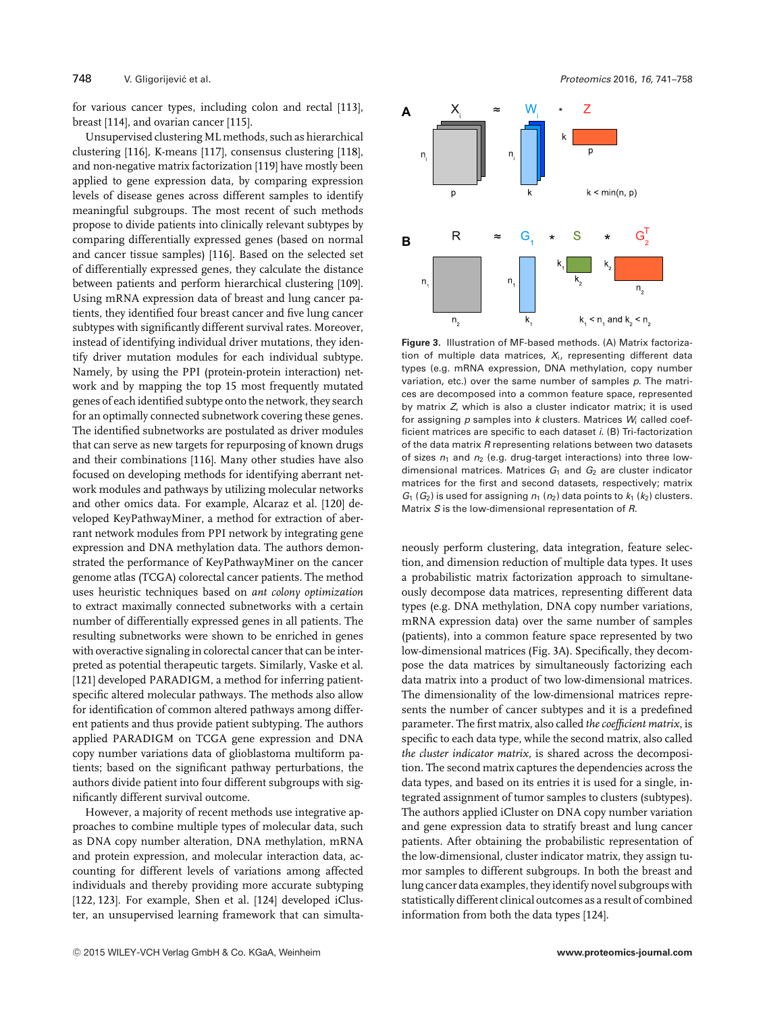for various cancer types, including colon and rectal [113], breast [114], and ovarian cancer [115].

Unsupervised clustering ML methods, such as hierarchical clustering [116], K-means [117], consensus clustering [118], and non-negative matrix factorization [119] have mostly been applied to gene expression data, by comparing expression levels of disease genes across different samples to identify meaningful subgroups. The most recent of such methods propose to divide patients into clinically relevant subtypes by comparing differentially expressed genes (based on normal and cancer tissue samples) [116]. Based on the selected set of differentially expressed genes, they calculate the distance between patients and perform hierarchical clustering [109]. Using mRNA expression data of breast and lung cancer patients, they identified four breast cancer and five lung cancer subtypes with significantly different survival rates. Moreover, instead of identifying individual driver mutations, they identify driver mutation modules for each individual subtype. Namely, by using the PPI (protein-protein interaction) network and by mapping the top 15 most frequently mutated genes of each identified subtype onto the network, they search for an optimally connected subnetwork covering these genes. The identified subnetworks are postulated as driver modules that can serve as new targets for repurposing of known drugs and their combinations [116]. Many other studies have also focused on developing methods for identifying aberrant network modules and pathways by utilizing molecular networks and other omics data. For example, Alcaraz et al. [120] developed KeyPathwayMiner, a method for extraction of aberrant network modules from PPI network by integrating gene expression and DNA methylation data. The authors demonstrated the performance of KeyPathwayMiner on the cancer genome atlas (TCGA) colorectal cancer patients. The method uses heuristic techniques based on *ant colony optimization* to extract maximally connected subnetworks with a certain number of differentially expressed genes in all patients. The resulting subnetworks were shown to be enriched in genes with overactive signaling in colorectal cancer that can be interpreted as potential therapeutic targets. Similarly, Vaske et al. [121] developed PARADIGM, a method for inferring patientspecific altered molecular pathways. The methods also allow for identification of common altered pathways among different patients and thus provide patient subtyping. The authors applied PARADIGM on TCGA gene expression and DNA copy number variations data of glioblastoma multiform patients; based on the significant pathway perturbations, the authors divide patient into four different subgroups with significantly different survival outcome.

However, a majority of recent methods use integrative approaches to combine multiple types of molecular data, such as DNA copy number alteration, DNA methylation, mRNA and protein expression, and molecular interaction data, accounting for different levels of variations among affected individuals and thereby providing more accurate subtyping [122, 123]. For example, Shen et al. [124] developed iCluster, an unsupervised learning framework that can simulta-



**Figure 3.** Illustration of MF-based methods. (A) Matrix factorization of multiple data matrices, *X*i, representing different data types (e.g. mRNA expression, DNA methylation, copy number variation, etc.) over the same number of samples *p*. The matrices are decomposed into a common feature space, represented by matrix *Z*, which is also a cluster indicator matrix; it is used for assigning *p* samples into *k* clusters. Matrices *W*<sup>i</sup> called coefficient matrices are specific to each dataset *i*. (B) Tri-factorization of the data matrix *R* representing relations between two datasets of sizes  $n_1$  and  $n_2$  (e.g. drug-target interactions) into three lowdimensional matrices. Matrices  $G_1$  and  $G_2$  are cluster indicator matrices for the first and second datasets, respectively; matrix  $G_1$  ( $G_2$ ) is used for assigning  $n_1$  ( $n_2$ ) data points to  $k_1$  ( $k_2$ ) clusters. Matrix *S* is the low-dimensional representation of *R*.

neously perform clustering, data integration, feature selection, and dimension reduction of multiple data types. It uses a probabilistic matrix factorization approach to simultaneously decompose data matrices, representing different data types (e.g. DNA methylation, DNA copy number variations, mRNA expression data) over the same number of samples (patients), into a common feature space represented by two low-dimensional matrices (Fig. 3A). Specifically, they decompose the data matrices by simultaneously factorizing each data matrix into a product of two low-dimensional matrices. The dimensionality of the low-dimensional matrices represents the number of cancer subtypes and it is a predefined parameter. The first matrix, also called *the coefficient matrix*, is specific to each data type, while the second matrix, also called *the cluster indicator matrix*, is shared across the decomposition. The second matrix captures the dependencies across the data types, and based on its entries it is used for a single, integrated assignment of tumor samples to clusters (subtypes). The authors applied iCluster on DNA copy number variation and gene expression data to stratify breast and lung cancer patients. After obtaining the probabilistic representation of the low-dimensional, cluster indicator matrix, they assign tumor samples to different subgroups. In both the breast and lung cancer data examples, they identify novel subgroups with statistically different clinical outcomes as a result of combined information from both the data types [124].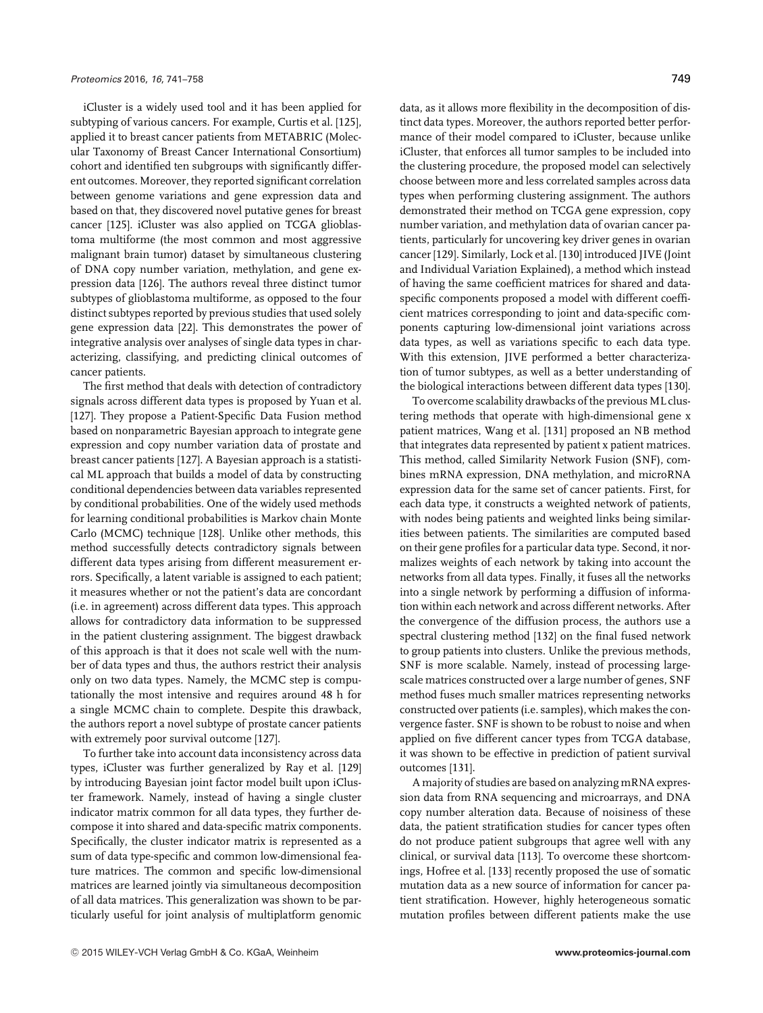iCluster is a widely used tool and it has been applied for subtyping of various cancers. For example, Curtis et al. [125], applied it to breast cancer patients from METABRIC (Molecular Taxonomy of Breast Cancer International Consortium) cohort and identified ten subgroups with significantly different outcomes. Moreover, they reported significant correlation between genome variations and gene expression data and based on that, they discovered novel putative genes for breast cancer [125]. iCluster was also applied on TCGA glioblastoma multiforme (the most common and most aggressive malignant brain tumor) dataset by simultaneous clustering of DNA copy number variation, methylation, and gene expression data [126]. The authors reveal three distinct tumor subtypes of glioblastoma multiforme, as opposed to the four distinct subtypes reported by previous studies that used solely gene expression data [22]. This demonstrates the power of integrative analysis over analyses of single data types in characterizing, classifying, and predicting clinical outcomes of cancer patients.

The first method that deals with detection of contradictory signals across different data types is proposed by Yuan et al. [127]. They propose a Patient-Specific Data Fusion method based on nonparametric Bayesian approach to integrate gene expression and copy number variation data of prostate and breast cancer patients [127]. A Bayesian approach is a statistical ML approach that builds a model of data by constructing conditional dependencies between data variables represented by conditional probabilities. One of the widely used methods for learning conditional probabilities is Markov chain Monte Carlo (MCMC) technique [128]. Unlike other methods, this method successfully detects contradictory signals between different data types arising from different measurement errors. Specifically, a latent variable is assigned to each patient; it measures whether or not the patient's data are concordant (i.e. in agreement) across different data types. This approach allows for contradictory data information to be suppressed in the patient clustering assignment. The biggest drawback of this approach is that it does not scale well with the number of data types and thus, the authors restrict their analysis only on two data types. Namely, the MCMC step is computationally the most intensive and requires around 48 h for a single MCMC chain to complete. Despite this drawback, the authors report a novel subtype of prostate cancer patients with extremely poor survival outcome [127].

To further take into account data inconsistency across data types, iCluster was further generalized by Ray et al. [129] by introducing Bayesian joint factor model built upon iCluster framework. Namely, instead of having a single cluster indicator matrix common for all data types, they further decompose it into shared and data-specific matrix components. Specifically, the cluster indicator matrix is represented as a sum of data type-specific and common low-dimensional feature matrices. The common and specific low-dimensional matrices are learned jointly via simultaneous decomposition of all data matrices. This generalization was shown to be particularly useful for joint analysis of multiplatform genomic

data, as it allows more flexibility in the decomposition of distinct data types. Moreover, the authors reported better performance of their model compared to iCluster, because unlike iCluster, that enforces all tumor samples to be included into the clustering procedure, the proposed model can selectively choose between more and less correlated samples across data types when performing clustering assignment. The authors demonstrated their method on TCGA gene expression, copy number variation, and methylation data of ovarian cancer patients, particularly for uncovering key driver genes in ovarian cancer [129]. Similarly, Lock et al. [130] introduced JIVE (Joint and Individual Variation Explained), a method which instead of having the same coefficient matrices for shared and dataspecific components proposed a model with different coefficient matrices corresponding to joint and data-specific components capturing low-dimensional joint variations across data types, as well as variations specific to each data type. With this extension, JIVE performed a better characterization of tumor subtypes, as well as a better understanding of the biological interactions between different data types [130].

To overcome scalability drawbacks of the previous ML clustering methods that operate with high-dimensional gene x patient matrices, Wang et al. [131] proposed an NB method that integrates data represented by patient x patient matrices. This method, called Similarity Network Fusion (SNF), combines mRNA expression, DNA methylation, and microRNA expression data for the same set of cancer patients. First, for each data type, it constructs a weighted network of patients, with nodes being patients and weighted links being similarities between patients. The similarities are computed based on their gene profiles for a particular data type. Second, it normalizes weights of each network by taking into account the networks from all data types. Finally, it fuses all the networks into a single network by performing a diffusion of information within each network and across different networks. After the convergence of the diffusion process, the authors use a spectral clustering method [132] on the final fused network to group patients into clusters. Unlike the previous methods, SNF is more scalable. Namely, instead of processing largescale matrices constructed over a large number of genes, SNF method fuses much smaller matrices representing networks constructed over patients (i.e. samples), which makes the convergence faster. SNF is shown to be robust to noise and when applied on five different cancer types from TCGA database, it was shown to be effective in prediction of patient survival outcomes [131].

A majority of studies are based on analyzing mRNA expression data from RNA sequencing and microarrays, and DNA copy number alteration data. Because of noisiness of these data, the patient stratification studies for cancer types often do not produce patient subgroups that agree well with any clinical, or survival data [113]. To overcome these shortcomings, Hofree et al. [133] recently proposed the use of somatic mutation data as a new source of information for cancer patient stratification. However, highly heterogeneous somatic mutation profiles between different patients make the use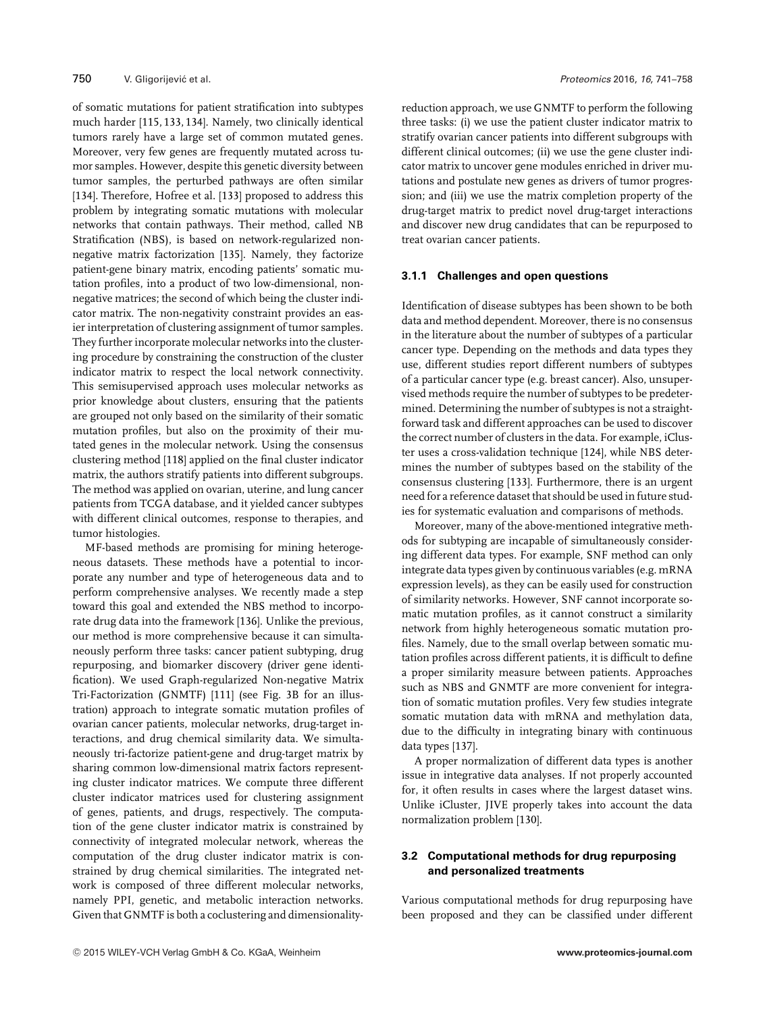of somatic mutations for patient stratification into subtypes much harder [115, 133, 134]. Namely, two clinically identical tumors rarely have a large set of common mutated genes. Moreover, very few genes are frequently mutated across tumor samples. However, despite this genetic diversity between tumor samples, the perturbed pathways are often similar [134]. Therefore, Hofree et al. [133] proposed to address this problem by integrating somatic mutations with molecular networks that contain pathways. Their method, called NB Stratification (NBS), is based on network-regularized nonnegative matrix factorization [135]. Namely, they factorize patient-gene binary matrix, encoding patients' somatic mutation profiles, into a product of two low-dimensional, nonnegative matrices; the second of which being the cluster indicator matrix. The non-negativity constraint provides an easier interpretation of clustering assignment of tumor samples. They further incorporate molecular networks into the clustering procedure by constraining the construction of the cluster indicator matrix to respect the local network connectivity. This semisupervised approach uses molecular networks as prior knowledge about clusters, ensuring that the patients are grouped not only based on the similarity of their somatic mutation profiles, but also on the proximity of their mutated genes in the molecular network. Using the consensus clustering method [118] applied on the final cluster indicator matrix, the authors stratify patients into different subgroups. The method was applied on ovarian, uterine, and lung cancer patients from TCGA database, and it yielded cancer subtypes with different clinical outcomes, response to therapies, and tumor histologies.

MF-based methods are promising for mining heterogeneous datasets. These methods have a potential to incorporate any number and type of heterogeneous data and to perform comprehensive analyses. We recently made a step toward this goal and extended the NBS method to incorporate drug data into the framework [136]. Unlike the previous, our method is more comprehensive because it can simultaneously perform three tasks: cancer patient subtyping, drug repurposing, and biomarker discovery (driver gene identification). We used Graph-regularized Non-negative Matrix Tri-Factorization (GNMTF) [111] (see Fig. 3B for an illustration) approach to integrate somatic mutation profiles of ovarian cancer patients, molecular networks, drug-target interactions, and drug chemical similarity data. We simultaneously tri-factorize patient-gene and drug-target matrix by sharing common low-dimensional matrix factors representing cluster indicator matrices. We compute three different cluster indicator matrices used for clustering assignment of genes, patients, and drugs, respectively. The computation of the gene cluster indicator matrix is constrained by connectivity of integrated molecular network, whereas the computation of the drug cluster indicator matrix is constrained by drug chemical similarities. The integrated network is composed of three different molecular networks, namely PPI, genetic, and metabolic interaction networks. Given that GNMTF is both a coclustering and dimensionalityreduction approach, we use GNMTF to perform the following three tasks: (i) we use the patient cluster indicator matrix to stratify ovarian cancer patients into different subgroups with different clinical outcomes; (ii) we use the gene cluster indicator matrix to uncover gene modules enriched in driver mutations and postulate new genes as drivers of tumor progression; and (iii) we use the matrix completion property of the drug-target matrix to predict novel drug-target interactions and discover new drug candidates that can be repurposed to treat ovarian cancer patients.

# **3.1.1 Challenges and open questions**

Identification of disease subtypes has been shown to be both data and method dependent. Moreover, there is no consensus in the literature about the number of subtypes of a particular cancer type. Depending on the methods and data types they use, different studies report different numbers of subtypes of a particular cancer type (e.g. breast cancer). Also, unsupervised methods require the number of subtypes to be predetermined. Determining the number of subtypes is not a straightforward task and different approaches can be used to discover the correct number of clusters in the data. For example, iCluster uses a cross-validation technique [124], while NBS determines the number of subtypes based on the stability of the consensus clustering [133]. Furthermore, there is an urgent need for a reference dataset that should be used in future studies for systematic evaluation and comparisons of methods.

Moreover, many of the above-mentioned integrative methods for subtyping are incapable of simultaneously considering different data types. For example, SNF method can only integrate data types given by continuous variables (e.g. mRNA expression levels), as they can be easily used for construction of similarity networks. However, SNF cannot incorporate somatic mutation profiles, as it cannot construct a similarity network from highly heterogeneous somatic mutation profiles. Namely, due to the small overlap between somatic mutation profiles across different patients, it is difficult to define a proper similarity measure between patients. Approaches such as NBS and GNMTF are more convenient for integration of somatic mutation profiles. Very few studies integrate somatic mutation data with mRNA and methylation data, due to the difficulty in integrating binary with continuous data types [137].

A proper normalization of different data types is another issue in integrative data analyses. If not properly accounted for, it often results in cases where the largest dataset wins. Unlike iCluster, JIVE properly takes into account the data normalization problem [130].

# **3.2 Computational methods for drug repurposing and personalized treatments**

Various computational methods for drug repurposing have been proposed and they can be classified under different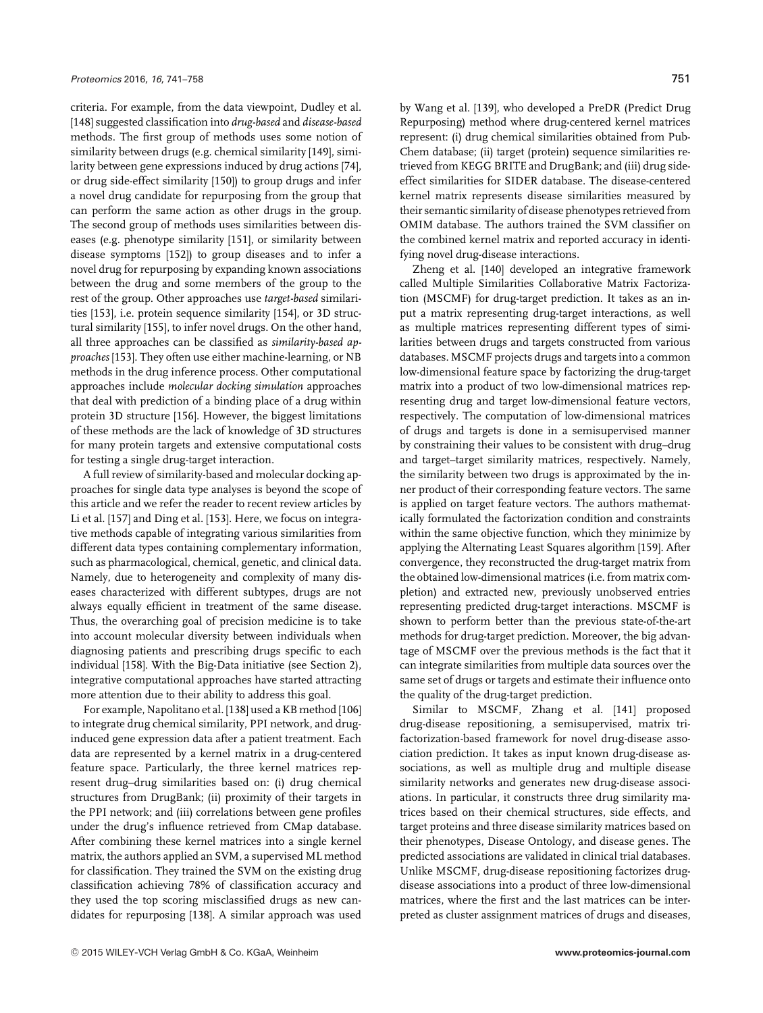criteria. For example, from the data viewpoint, Dudley et al. [148] suggested classification into *drug-based* and *disease-based* methods. The first group of methods uses some notion of similarity between drugs (e.g. chemical similarity [149], similarity between gene expressions induced by drug actions [74], or drug side-effect similarity [150]) to group drugs and infer a novel drug candidate for repurposing from the group that can perform the same action as other drugs in the group. The second group of methods uses similarities between diseases (e.g. phenotype similarity [151], or similarity between disease symptoms [152]) to group diseases and to infer a novel drug for repurposing by expanding known associations between the drug and some members of the group to the rest of the group. Other approaches use *target-based* similarities [153], i.e. protein sequence similarity [154], or 3D structural similarity [155], to infer novel drugs. On the other hand, all three approaches can be classified as *similarity-based approaches* [153]. They often use either machine-learning, or NB methods in the drug inference process. Other computational approaches include *molecular docking simulation* approaches that deal with prediction of a binding place of a drug within protein 3D structure [156]. However, the biggest limitations of these methods are the lack of knowledge of 3D structures for many protein targets and extensive computational costs for testing a single drug-target interaction.

A full review of similarity-based and molecular docking approaches for single data type analyses is beyond the scope of this article and we refer the reader to recent review articles by Li et al. [157] and Ding et al. [153]. Here, we focus on integrative methods capable of integrating various similarities from different data types containing complementary information, such as pharmacological, chemical, genetic, and clinical data. Namely, due to heterogeneity and complexity of many diseases characterized with different subtypes, drugs are not always equally efficient in treatment of the same disease. Thus, the overarching goal of precision medicine is to take into account molecular diversity between individuals when diagnosing patients and prescribing drugs specific to each individual [158]. With the Big-Data initiative (see Section 2), integrative computational approaches have started attracting more attention due to their ability to address this goal.

For example, Napolitano et al. [138] used a KB method [106] to integrate drug chemical similarity, PPI network, and druginduced gene expression data after a patient treatment. Each data are represented by a kernel matrix in a drug-centered feature space. Particularly, the three kernel matrices represent drug–drug similarities based on: (i) drug chemical structures from DrugBank; (ii) proximity of their targets in the PPI network; and (iii) correlations between gene profiles under the drug's influence retrieved from CMap database. After combining these kernel matrices into a single kernel matrix, the authors applied an SVM, a supervised ML method for classification. They trained the SVM on the existing drug classification achieving 78% of classification accuracy and they used the top scoring misclassified drugs as new candidates for repurposing [138]. A similar approach was used

by Wang et al. [139], who developed a PreDR (Predict Drug Repurposing) method where drug-centered kernel matrices represent: (i) drug chemical similarities obtained from Pub-Chem database; (ii) target (protein) sequence similarities retrieved from KEGG BRITE and DrugBank; and (iii) drug sideeffect similarities for SIDER database. The disease-centered kernel matrix represents disease similarities measured by their semantic similarity of disease phenotypes retrieved from OMIM database. The authors trained the SVM classifier on the combined kernel matrix and reported accuracy in identifying novel drug-disease interactions.

Zheng et al. [140] developed an integrative framework called Multiple Similarities Collaborative Matrix Factorization (MSCMF) for drug-target prediction. It takes as an input a matrix representing drug-target interactions, as well as multiple matrices representing different types of similarities between drugs and targets constructed from various databases. MSCMF projects drugs and targets into a common low-dimensional feature space by factorizing the drug-target matrix into a product of two low-dimensional matrices representing drug and target low-dimensional feature vectors, respectively. The computation of low-dimensional matrices of drugs and targets is done in a semisupervised manner by constraining their values to be consistent with drug–drug and target–target similarity matrices, respectively. Namely, the similarity between two drugs is approximated by the inner product of their corresponding feature vectors. The same is applied on target feature vectors. The authors mathematically formulated the factorization condition and constraints within the same objective function, which they minimize by applying the Alternating Least Squares algorithm [159]. After convergence, they reconstructed the drug-target matrix from the obtained low-dimensional matrices (i.e. from matrix completion) and extracted new, previously unobserved entries representing predicted drug-target interactions. MSCMF is shown to perform better than the previous state-of-the-art methods for drug-target prediction. Moreover, the big advantage of MSCMF over the previous methods is the fact that it can integrate similarities from multiple data sources over the same set of drugs or targets and estimate their influence onto the quality of the drug-target prediction.

Similar to MSCMF, Zhang et al. [141] proposed drug-disease repositioning, a semisupervised, matrix trifactorization-based framework for novel drug-disease association prediction. It takes as input known drug-disease associations, as well as multiple drug and multiple disease similarity networks and generates new drug-disease associations. In particular, it constructs three drug similarity matrices based on their chemical structures, side effects, and target proteins and three disease similarity matrices based on their phenotypes, Disease Ontology, and disease genes. The predicted associations are validated in clinical trial databases. Unlike MSCMF, drug-disease repositioning factorizes drugdisease associations into a product of three low-dimensional matrices, where the first and the last matrices can be interpreted as cluster assignment matrices of drugs and diseases,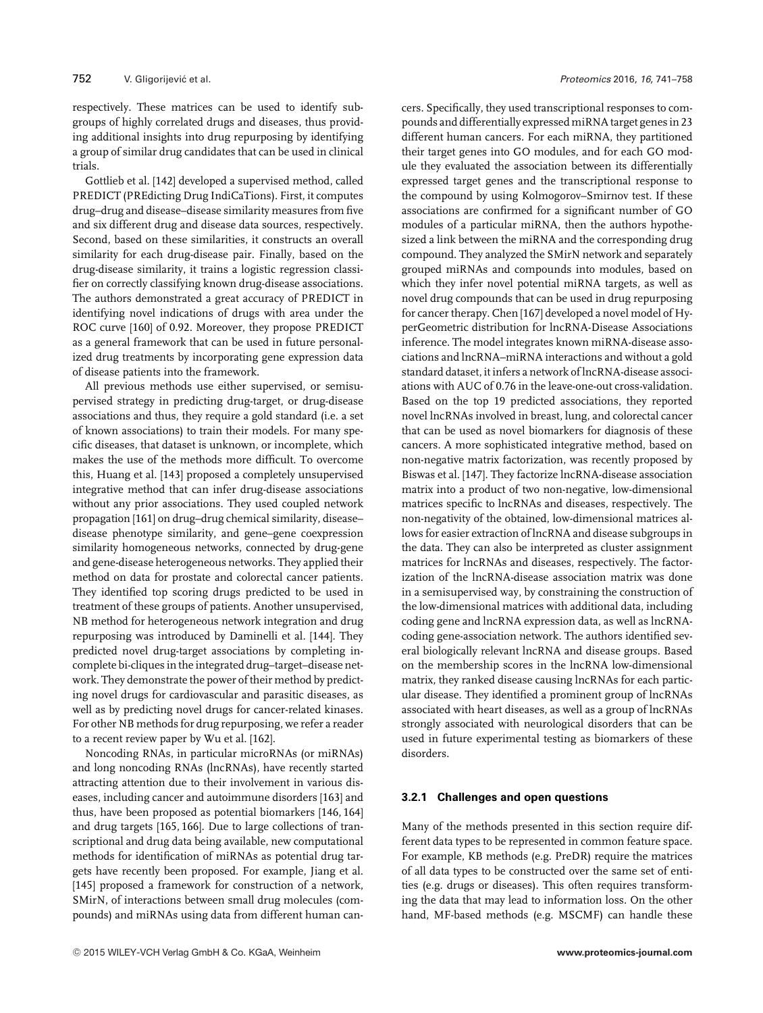respectively. These matrices can be used to identify subgroups of highly correlated drugs and diseases, thus providing additional insights into drug repurposing by identifying a group of similar drug candidates that can be used in clinical trials.

Gottlieb et al. [142] developed a supervised method, called PREDICT (PREdicting Drug IndiCaTions). First, it computes drug–drug and disease–disease similarity measures from five and six different drug and disease data sources, respectively. Second, based on these similarities, it constructs an overall similarity for each drug-disease pair. Finally, based on the drug-disease similarity, it trains a logistic regression classifier on correctly classifying known drug-disease associations. The authors demonstrated a great accuracy of PREDICT in identifying novel indications of drugs with area under the ROC curve [160] of 0.92. Moreover, they propose PREDICT as a general framework that can be used in future personalized drug treatments by incorporating gene expression data of disease patients into the framework.

All previous methods use either supervised, or semisupervised strategy in predicting drug-target, or drug-disease associations and thus, they require a gold standard (i.e. a set of known associations) to train their models. For many specific diseases, that dataset is unknown, or incomplete, which makes the use of the methods more difficult. To overcome this, Huang et al. [143] proposed a completely unsupervised integrative method that can infer drug-disease associations without any prior associations. They used coupled network propagation [161] on drug–drug chemical similarity, disease– disease phenotype similarity, and gene–gene coexpression similarity homogeneous networks, connected by drug-gene and gene-disease heterogeneous networks. They applied their method on data for prostate and colorectal cancer patients. They identified top scoring drugs predicted to be used in treatment of these groups of patients. Another unsupervised, NB method for heterogeneous network integration and drug repurposing was introduced by Daminelli et al. [144]. They predicted novel drug-target associations by completing incomplete bi-cliques in the integrated drug–target–disease network. They demonstrate the power of their method by predicting novel drugs for cardiovascular and parasitic diseases, as well as by predicting novel drugs for cancer-related kinases. For other NB methods for drug repurposing, we refer a reader to a recent review paper by Wu et al. [162].

Noncoding RNAs, in particular microRNAs (or miRNAs) and long noncoding RNAs (lncRNAs), have recently started attracting attention due to their involvement in various diseases, including cancer and autoimmune disorders [163] and thus, have been proposed as potential biomarkers [146, 164] and drug targets [165, 166]. Due to large collections of transcriptional and drug data being available, new computational methods for identification of miRNAs as potential drug targets have recently been proposed. For example, Jiang et al. [145] proposed a framework for construction of a network, SMirN, of interactions between small drug molecules (compounds) and miRNAs using data from different human cancers. Specifically, they used transcriptional responses to compounds and differentially expressed miRNA target genes in 23 different human cancers. For each miRNA, they partitioned their target genes into GO modules, and for each GO module they evaluated the association between its differentially expressed target genes and the transcriptional response to the compound by using Kolmogorov–Smirnov test. If these associations are confirmed for a significant number of GO modules of a particular miRNA, then the authors hypothesized a link between the miRNA and the corresponding drug compound. They analyzed the SMirN network and separately grouped miRNAs and compounds into modules, based on which they infer novel potential miRNA targets, as well as novel drug compounds that can be used in drug repurposing for cancer therapy. Chen [167] developed a novel model of HyperGeometric distribution for lncRNA-Disease Associations inference. The model integrates known miRNA-disease associations and lncRNA–miRNA interactions and without a gold standard dataset, it infers a network of lncRNA-disease associations with AUC of 0.76 in the leave-one-out cross-validation. Based on the top 19 predicted associations, they reported novel lncRNAs involved in breast, lung, and colorectal cancer that can be used as novel biomarkers for diagnosis of these cancers. A more sophisticated integrative method, based on non-negative matrix factorization, was recently proposed by Biswas et al. [147]. They factorize lncRNA-disease association matrix into a product of two non-negative, low-dimensional matrices specific to lncRNAs and diseases, respectively. The non-negativity of the obtained, low-dimensional matrices allows for easier extraction of lncRNA and disease subgroups in the data. They can also be interpreted as cluster assignment matrices for lncRNAs and diseases, respectively. The factorization of the lncRNA-disease association matrix was done in a semisupervised way, by constraining the construction of the low-dimensional matrices with additional data, including coding gene and lncRNA expression data, as well as lncRNAcoding gene-association network. The authors identified several biologically relevant lncRNA and disease groups. Based on the membership scores in the lncRNA low-dimensional matrix, they ranked disease causing lncRNAs for each particular disease. They identified a prominent group of lncRNAs associated with heart diseases, as well as a group of lncRNAs strongly associated with neurological disorders that can be used in future experimental testing as biomarkers of these disorders.

#### **3.2.1 Challenges and open questions**

Many of the methods presented in this section require different data types to be represented in common feature space. For example, KB methods (e.g. PreDR) require the matrices of all data types to be constructed over the same set of entities (e.g. drugs or diseases). This often requires transforming the data that may lead to information loss. On the other hand, MF-based methods (e.g. MSCMF) can handle these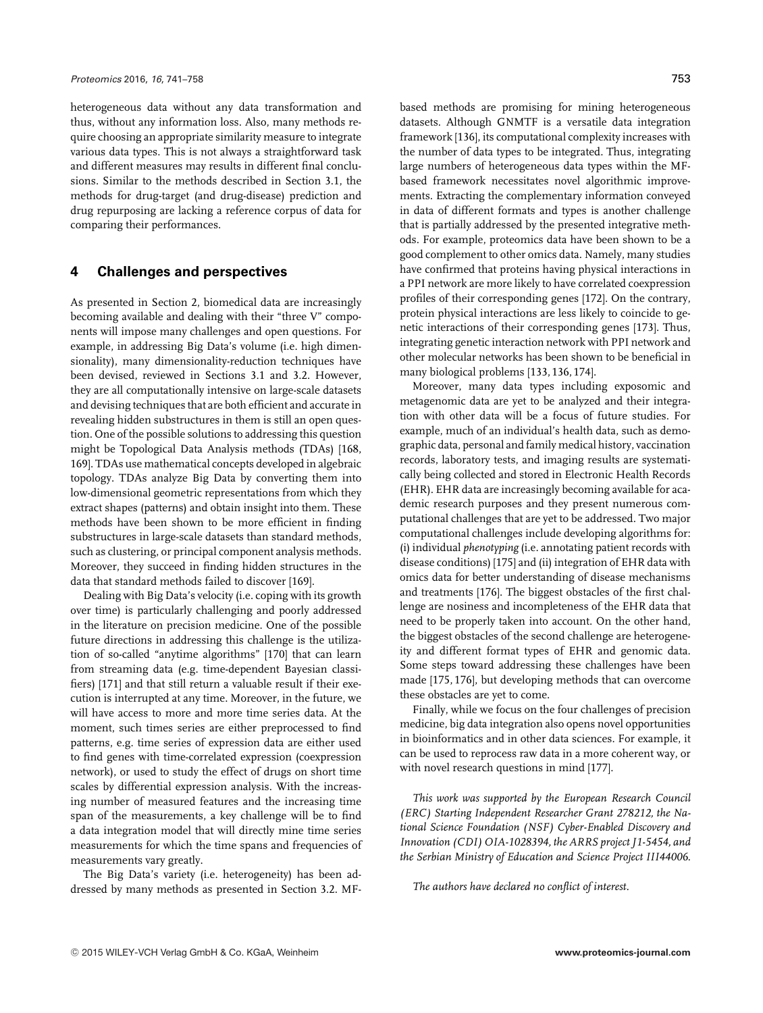heterogeneous data without any data transformation and thus, without any information loss. Also, many methods require choosing an appropriate similarity measure to integrate various data types. This is not always a straightforward task and different measures may results in different final conclusions. Similar to the methods described in Section 3.1, the methods for drug-target (and drug-disease) prediction and drug repurposing are lacking a reference corpus of data for comparing their performances.

# **4 Challenges and perspectives**

As presented in Section 2, biomedical data are increasingly becoming available and dealing with their "three V" components will impose many challenges and open questions. For example, in addressing Big Data's volume (i.e. high dimensionality), many dimensionality-reduction techniques have been devised, reviewed in Sections 3.1 and 3.2. However, they are all computationally intensive on large-scale datasets and devising techniques that are both efficient and accurate in revealing hidden substructures in them is still an open question. One of the possible solutions to addressing this question might be Topological Data Analysis methods (TDAs) [168, 169]. TDAs use mathematical concepts developed in algebraic topology. TDAs analyze Big Data by converting them into low-dimensional geometric representations from which they extract shapes (patterns) and obtain insight into them. These methods have been shown to be more efficient in finding substructures in large-scale datasets than standard methods, such as clustering, or principal component analysis methods. Moreover, they succeed in finding hidden structures in the data that standard methods failed to discover [169].

Dealing with Big Data's velocity (i.e. coping with its growth over time) is particularly challenging and poorly addressed in the literature on precision medicine. One of the possible future directions in addressing this challenge is the utilization of so-called "anytime algorithms" [170] that can learn from streaming data (e.g. time-dependent Bayesian classifiers) [171] and that still return a valuable result if their execution is interrupted at any time. Moreover, in the future, we will have access to more and more time series data. At the moment, such times series are either preprocessed to find patterns, e.g. time series of expression data are either used to find genes with time-correlated expression (coexpression network), or used to study the effect of drugs on short time scales by differential expression analysis. With the increasing number of measured features and the increasing time span of the measurements, a key challenge will be to find a data integration model that will directly mine time series measurements for which the time spans and frequencies of measurements vary greatly.

The Big Data's variety (i.e. heterogeneity) has been addressed by many methods as presented in Section 3.2. MF-

based methods are promising for mining heterogeneous datasets. Although GNMTF is a versatile data integration framework [136], its computational complexity increases with the number of data types to be integrated. Thus, integrating large numbers of heterogeneous data types within the MFbased framework necessitates novel algorithmic improvements. Extracting the complementary information conveyed in data of different formats and types is another challenge that is partially addressed by the presented integrative methods. For example, proteomics data have been shown to be a good complement to other omics data. Namely, many studies have confirmed that proteins having physical interactions in a PPI network are more likely to have correlated coexpression profiles of their corresponding genes [172]. On the contrary, protein physical interactions are less likely to coincide to genetic interactions of their corresponding genes [173]. Thus, integrating genetic interaction network with PPI network and other molecular networks has been shown to be beneficial in many biological problems [133, 136, 174].

Moreover, many data types including exposomic and metagenomic data are yet to be analyzed and their integration with other data will be a focus of future studies. For example, much of an individual's health data, such as demographic data, personal and family medical history, vaccination records, laboratory tests, and imaging results are systematically being collected and stored in Electronic Health Records (EHR). EHR data are increasingly becoming available for academic research purposes and they present numerous computational challenges that are yet to be addressed. Two major computational challenges include developing algorithms for: (i) individual *phenotyping* (i.e. annotating patient records with disease conditions) [175] and (ii) integration of EHR data with omics data for better understanding of disease mechanisms and treatments [176]. The biggest obstacles of the first challenge are nosiness and incompleteness of the EHR data that need to be properly taken into account. On the other hand, the biggest obstacles of the second challenge are heterogeneity and different format types of EHR and genomic data. Some steps toward addressing these challenges have been made [175, 176], but developing methods that can overcome these obstacles are yet to come.

Finally, while we focus on the four challenges of precision medicine, big data integration also opens novel opportunities in bioinformatics and in other data sciences. For example, it can be used to reprocess raw data in a more coherent way, or with novel research questions in mind [177].

*This work was supported by the European Research Council (ERC) Starting Independent Researcher Grant 278212, the National Science Foundation (NSF) Cyber-Enabled Discovery and Innovation (CDI) OIA-1028394, the ARRS project J1-5454, and the Serbian Ministry of Education and Science Project III44006.*

*The authors have declared no conflict of interest.*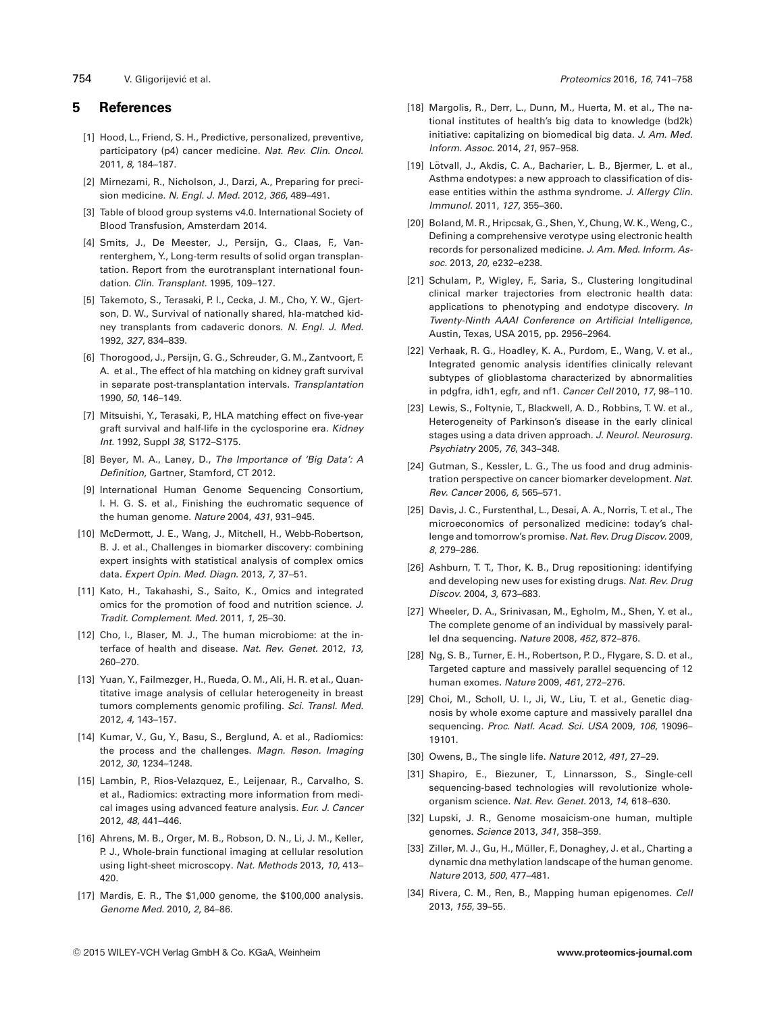754 V. Gligorijevic et al. ´ *Proteomics* 2016, *16*, 741–758

#### **5 References**

- [1] Hood, L., Friend, S. H., Predictive, personalized, preventive, participatory (p4) cancer medicine. *Nat. Rev. Clin. Oncol.* 2011, *8*, 184–187.
- [2] Mirnezami, R., Nicholson, J., Darzi, A., Preparing for precision medicine. *N. Engl. J. Med.* 2012, *366*, 489–491.
- [3] Table of blood group systems v4.0. International Society of Blood Transfusion, Amsterdam 2014.
- [4] Smits, J., De Meester, J., Persijn, G., Claas, F., Vanrenterghem, Y., Long-term results of solid organ transplantation. Report from the eurotransplant international foundation. *Clin. Transplant.* 1995, 109–127.
- [5] Takemoto, S., Terasaki, P. I., Cecka, J. M., Cho, Y. W., Gjertson, D. W., Survival of nationally shared, hla-matched kidney transplants from cadaveric donors. *N. Engl. J. Med.* 1992, *327*, 834–839.
- [6] Thorogood, J., Persijn, G. G., Schreuder, G. M., Zantvoort, F. A. et al., The effect of hla matching on kidney graft survival in separate post-transplantation intervals. *Transplantation* 1990, *50*, 146–149.
- [7] Mitsuishi, Y., Terasaki, P., HLA matching effect on five-year graft survival and half-life in the cyclosporine era. *Kidney Int.* 1992, Suppl *38*, S172–S175.
- [8] Beyer, M. A., Laney, D., *The Importance of 'Big Data': A Definition*, Gartner, Stamford, CT 2012.
- [9] International Human Genome Sequencing Consortium, I. H. G. S. et al., Finishing the euchromatic sequence of the human genome. *Nature* 2004, *431*, 931–945.
- [10] McDermott, J. E., Wang, J., Mitchell, H., Webb-Robertson, B. J. et al., Challenges in biomarker discovery: combining expert insights with statistical analysis of complex omics data. *Expert Opin. Med. Diagn.* 2013, *7*, 37–51.
- [11] Kato, H., Takahashi, S., Saito, K., Omics and integrated omics for the promotion of food and nutrition science. *J. Tradit. Complement. Med.* 2011, *1*, 25–30.
- [12] Cho, I., Blaser, M. J., The human microbiome: at the interface of health and disease. *Nat. Rev. Genet.* 2012, *13*, 260–270.
- [13] Yuan, Y., Failmezger, H., Rueda, O. M., Ali, H. R. et al., Quantitative image analysis of cellular heterogeneity in breast tumors complements genomic profiling. *Sci. Transl. Med.* 2012, *4*, 143–157.
- [14] Kumar, V., Gu, Y., Basu, S., Berglund, A. et al., Radiomics: the process and the challenges. *Magn. Reson. Imaging* 2012, *30*, 1234–1248.
- [15] Lambin, P., Rios-Velazquez, E., Leijenaar, R., Carvalho, S. et al., Radiomics: extracting more information from medical images using advanced feature analysis. *Eur. J. Cancer* 2012, *48*, 441–446.
- [16] Ahrens, M. B., Orger, M. B., Robson, D. N., Li, J. M., Keller, P. J., Whole-brain functional imaging at cellular resolution using light-sheet microscopy. *Nat. Methods* 2013, *10*, 413– 420.
- [17] Mardis, E. R., The \$1,000 genome, the \$100,000 analysis. *Genome Med.* 2010, *2*, 84–86.
- [18] Margolis, R., Derr, L., Dunn, M., Huerta, M. et al., The national institutes of health's big data to knowledge (bd2k) initiative: capitalizing on biomedical big data. *J. Am. Med. Inform. Assoc.* 2014, *21*, 957–958.
- [19] Lötvall, J., Akdis, C. A., Bacharier, L. B., Bjermer, L. et al., Asthma endotypes: a new approach to classification of disease entities within the asthma syndrome. *J. Allergy Clin. Immunol.* 2011, *127*, 355–360.
- [20] Boland, M. R., Hripcsak, G., Shen, Y., Chung, W. K., Weng, C., Defining a comprehensive verotype using electronic health records for personalized medicine. *J. Am. Med. Inform. Assoc.* 2013, *20*, e232–e238.
- [21] Schulam, P., Wigley, F., Saria, S., Clustering longitudinal clinical marker trajectories from electronic health data: applications to phenotyping and endotype discovery. *In Twenty-Ninth AAAI Conference on Artificial Intelligence*, Austin, Texas, USA 2015, pp. 2956–2964.
- [22] Verhaak, R. G., Hoadley, K. A., Purdom, E., Wang, V. et al., Integrated genomic analysis identifies clinically relevant subtypes of glioblastoma characterized by abnormalities in pdgfra, idh1, egfr, and nf1. *Cancer Cell* 2010, *17*, 98–110.
- [23] Lewis, S., Foltynie, T., Blackwell, A. D., Robbins, T. W. et al., Heterogeneity of Parkinson's disease in the early clinical stages using a data driven approach. *J. Neurol. Neurosurg. Psychiatry* 2005, *76*, 343–348.
- [24] Gutman, S., Kessler, L. G., The us food and drug administration perspective on cancer biomarker development. *Nat. Rev. Cancer* 2006, *6*, 565–571.
- [25] Davis, J. C., Furstenthal, L., Desai, A. A., Norris, T. et al., The microeconomics of personalized medicine: today's challenge and tomorrow's promise. *Nat. Rev. Drug Discov.* 2009, *8*, 279–286.
- [26] Ashburn, T. T., Thor, K. B., Drug repositioning: identifying and developing new uses for existing drugs. *Nat. Rev. Drug Discov.* 2004, *3*, 673–683.
- [27] Wheeler, D. A., Srinivasan, M., Egholm, M., Shen, Y. et al., The complete genome of an individual by massively parallel dna sequencing. *Nature* 2008, *452*, 872–876.
- [28] Ng, S. B., Turner, E. H., Robertson, P. D., Flygare, S. D. et al., Targeted capture and massively parallel sequencing of 12 human exomes. *Nature* 2009, *461*, 272–276.
- [29] Choi, M., Scholl, U. I., Ji, W., Liu, T. et al., Genetic diagnosis by whole exome capture and massively parallel dna sequencing. *Proc. Natl. Acad. Sci. USA* 2009, *106*, 19096– 19101.
- [30] Owens, B., The single life. *Nature* 2012, *491*, 27–29.
- [31] Shapiro, E., Biezuner, T., Linnarsson, S., Single-cell sequencing-based technologies will revolutionize wholeorganism science. *Nat. Rev. Genet.* 2013, *14*, 618–630.
- [32] Lupski, J. R., Genome mosaicism-one human, multiple genomes. *Science* 2013, *341*, 358–359.
- [33] Ziller, M. J., Gu, H., Müller, F., Donaghey, J. et al., Charting a dynamic dna methylation landscape of the human genome. *Nature* 2013, *500*, 477–481.
- [34] Rivera, C. M., Ren, B., Mapping human epigenomes. *Cell* 2013, *155*, 39–55.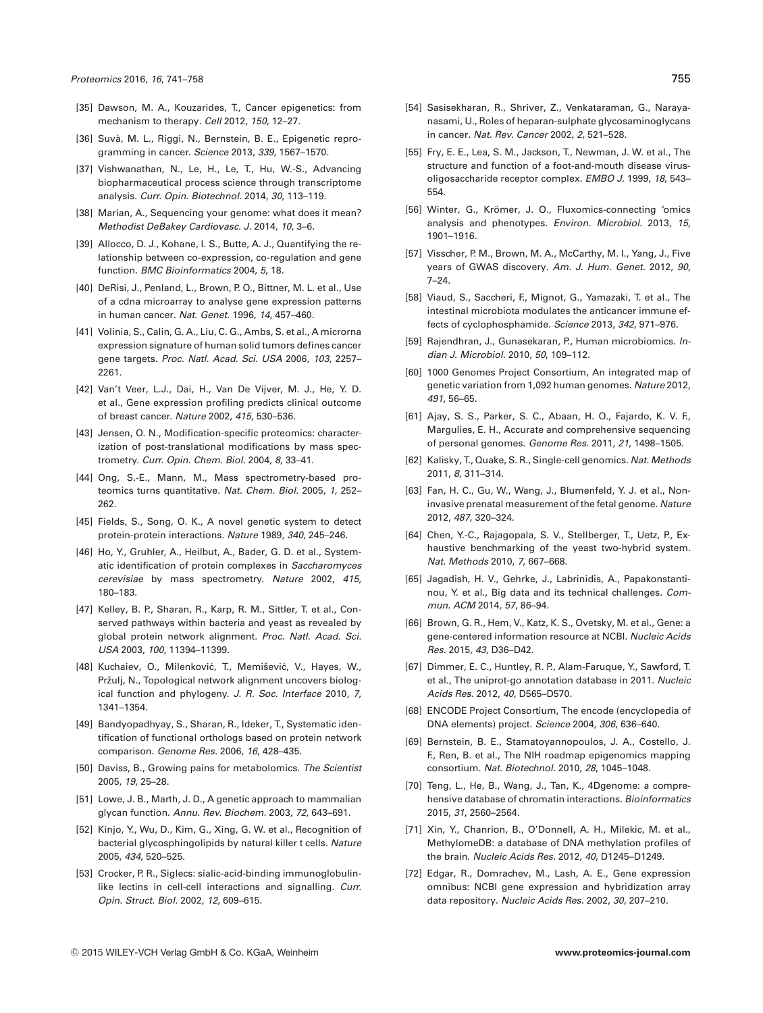- [35] Dawson, M. A., Kouzarides, T., Cancer epigenetics: from mechanism to therapy. *Cell* 2012, *150*, 12–27.
- [36] Suvà, M. L., Riggi, N., Bernstein, B. E., Epigenetic reprogramming in cancer. *Science* 2013, *339*, 1567–1570.
- [37] Vishwanathan, N., Le, H., Le, T., Hu, W.-S., Advancing biopharmaceutical process science through transcriptome analysis. *Curr. Opin. Biotechnol.* 2014, *30*, 113–119.
- [38] Marian, A., Sequencing your genome: what does it mean? *Methodist DeBakey Cardiovasc. J.* 2014, *10*, 3–6.
- [39] Allocco, D. J., Kohane, I. S., Butte, A. J., Quantifying the relationship between co-expression, co-regulation and gene function. *BMC Bioinformatics* 2004, *5*, 18.
- [40] DeRisi, J., Penland, L., Brown, P. O., Bittner, M. L. et al., Use of a cdna microarray to analyse gene expression patterns in human cancer. *Nat. Genet.* 1996, *14*, 457–460.
- [41] Volinia, S., Calin, G. A., Liu, C. G., Ambs, S. et al., A microrna expression signature of human solid tumors defines cancer gene targets. *Proc. Natl. Acad. Sci. USA* 2006, *103*, 2257– 2261.
- [42] Van't Veer, L.J., Dai, H., Van De Vijver, M. J., He, Y. D. et al., Gene expression profiling predicts clinical outcome of breast cancer. *Nature* 2002, *415*, 530–536.
- [43] Jensen, O. N., Modification-specific proteomics: characterization of post-translational modifications by mass spectrometry. *Curr. Opin. Chem. Biol.* 2004, *8*, 33–41.
- [44] Ong, S.-E., Mann, M., Mass spectrometry-based proteomics turns quantitative. *Nat. Chem. Biol.* 2005, *1*, 252– 262.
- [45] Fields, S., Song, O. K., A novel genetic system to detect protein-protein interactions. *Nature* 1989, *340*, 245–246.
- [46] Ho, Y., Gruhler, A., Heilbut, A., Bader, G. D. et al., Systematic identification of protein complexes in *Saccharomyces cerevisiae* by mass spectrometry. *Nature* 2002, *415*, 180–183.
- [47] Kelley, B. P., Sharan, R., Karp, R. M., Sittler, T. et al., Conserved pathways within bacteria and yeast as revealed by global protein network alignment. *Proc. Natl. Acad. Sci. USA* 2003, *100*, 11394–11399.
- [48] Kuchaiev, O., Milenković, T., Memišević, V., Hayes, W., Pržulj, N., Topological network alignment uncovers biological function and phylogeny. *J. R. Soc. Interface* 2010, *7*, 1341–1354.
- [49] Bandyopadhyay, S., Sharan, R., Ideker, T., Systematic identification of functional orthologs based on protein network comparison. *Genome Res.* 2006, *16*, 428–435.
- [50] Daviss, B., Growing pains for metabolomics. *The Scientist* 2005, *19*, 25–28.
- [51] Lowe, J. B., Marth, J. D., A genetic approach to mammalian glycan function. *Annu. Rev. Biochem.* 2003, *72*, 643–691.
- [52] Kinjo, Y., Wu, D., Kim, G., Xing, G. W. et al., Recognition of bacterial glycosphingolipids by natural killer t cells. *Nature* 2005, *434*, 520–525.
- [53] Crocker, P. R., Siglecs: sialic-acid-binding immunoglobulinlike lectins in cell-cell interactions and signalling. *Curr. Opin. Struct. Biol.* 2002, *12*, 609–615.
- [54] Sasisekharan, R., Shriver, Z., Venkataraman, G., Narayanasami, U., Roles of heparan-sulphate glycosaminoglycans in cancer. *Nat. Rev. Cancer* 2002, *2*, 521–528.
- [55] Fry, E. E., Lea, S. M., Jackson, T., Newman, J. W. et al., The structure and function of a foot-and-mouth disease virusoligosaccharide receptor complex. *EMBO J.* 1999, *18*, 543– 554.
- [56] Winter, G., Krömer, J. O., Fluxomics-connecting 'omics analysis and phenotypes. *Environ. Microbiol.* 2013, *15*, 1901–1916.
- [57] Visscher, P. M., Brown, M. A., McCarthy, M. I., Yang, J., Five years of GWAS discovery. *Am. J. Hum. Genet.* 2012, *90*, 7–24.
- [58] Viaud, S., Saccheri, F., Mignot, G., Yamazaki, T. et al., The intestinal microbiota modulates the anticancer immune effects of cyclophosphamide. *Science* 2013, *342*, 971–976.
- [59] Rajendhran, J., Gunasekaran, P., Human microbiomics. *Indian J. Microbiol.* 2010, *50*, 109–112.
- [60] 1000 Genomes Project Consortium, An integrated map of genetic variation from 1,092 human genomes. *Nature* 2012, *491*, 56–65.
- [61] Ajay, S. S., Parker, S. C., Abaan, H. O., Fajardo, K. V. F., Margulies, E. H., Accurate and comprehensive sequencing of personal genomes. *Genome Res.* 2011, *21*, 1498–1505.
- [62] Kalisky, T., Quake, S. R., Single-cell genomics. *Nat. Methods* 2011, *8*, 311–314.
- [63] Fan, H. C., Gu, W., Wang, J., Blumenfeld, Y. J. et al., Noninvasive prenatal measurement of the fetal genome. *Nature* 2012, *487*, 320–324.
- [64] Chen, Y.-C., Rajagopala, S. V., Stellberger, T., Uetz, P., Exhaustive benchmarking of the yeast two-hybrid system. *Nat. Methods* 2010, *7*, 667–668.
- [65] Jagadish, H. V., Gehrke, J., Labrinidis, A., Papakonstantinou, Y. et al., Big data and its technical challenges. *Commun. ACM* 2014, *57*, 86–94.
- [66] Brown, G. R., Hem, V., Katz, K. S., Ovetsky, M. et al., Gene: a gene-centered information resource at NCBI. *Nucleic Acids Res.* 2015, *43*, D36–D42.
- [67] Dimmer, E. C., Huntley, R. P., Alam-Faruque, Y., Sawford, T. et al., The uniprot-go annotation database in 2011. *Nucleic Acids Res.* 2012, *40*, D565–D570.
- [68] ENCODE Project Consortium, The encode (encyclopedia of DNA elements) project. *Science* 2004, *306*, 636–640.
- [69] Bernstein, B. E., Stamatoyannopoulos, J. A., Costello, J. F., Ren, B. et al., The NIH roadmap epigenomics mapping consortium. *Nat. Biotechnol.* 2010, *28*, 1045–1048.
- [70] Teng, L., He, B., Wang, J., Tan, K., 4Dgenome: a comprehensive database of chromatin interactions. *Bioinformatics* 2015, *31*, 2560–2564.
- [71] Xin, Y., Chanrion, B., O'Donnell, A. H., Milekic, M. et al., MethylomeDB: a database of DNA methylation profiles of the brain. *Nucleic Acids Res.* 2012, *40*, D1245–D1249.
- [72] Edgar, R., Domrachev, M., Lash, A. E., Gene expression omnibus: NCBI gene expression and hybridization array data repository. *Nucleic Acids Res.* 2002, *30*, 207–210.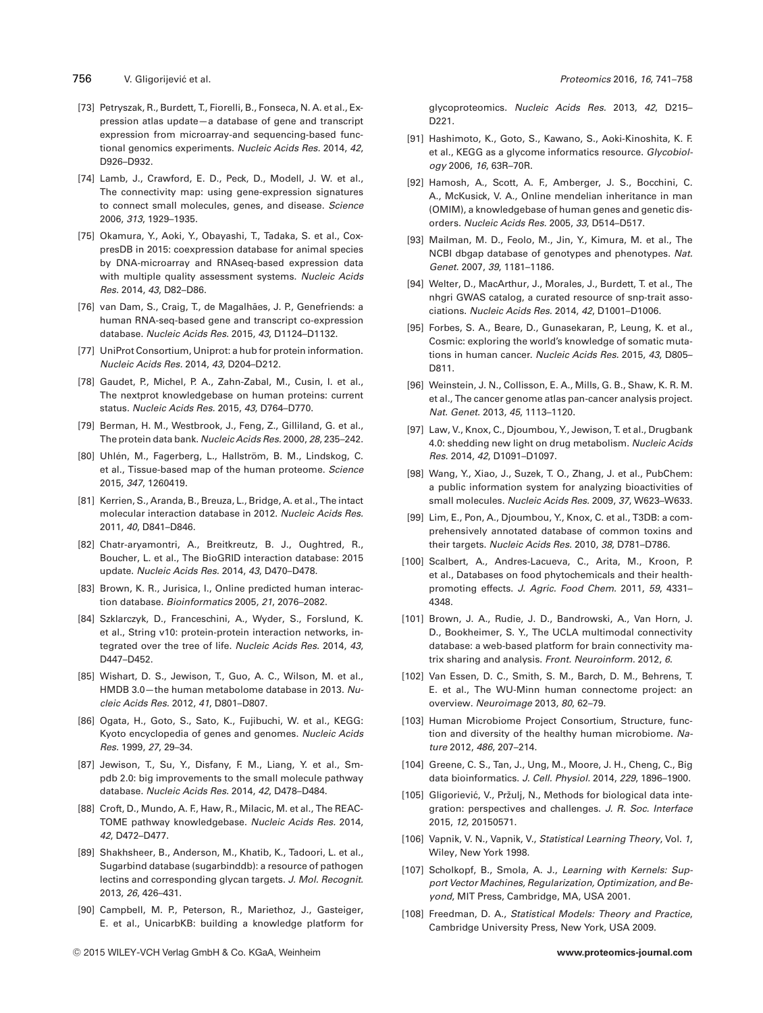- [73] Petryszak, R., Burdett, T., Fiorelli, B., Fonseca, N. A. et al., Expression atlas update—a database of gene and transcript expression from microarray-and sequencing-based functional genomics experiments. *Nucleic Acids Res.* 2014, *42*, D926–D932.
- [74] Lamb, J., Crawford, E. D., Peck, D., Modell, J. W. et al., The connectivity map: using gene-expression signatures to connect small molecules, genes, and disease. *Science* 2006, *313*, 1929–1935.
- [75] Okamura, Y., Aoki, Y., Obayashi, T., Tadaka, S. et al., CoxpresDB in 2015: coexpression database for animal species by DNA-microarray and RNAseq-based expression data with multiple quality assessment systems. *Nucleic Acids Res.* 2014, *43*, D82–D86.
- [76] van Dam, S., Craig, T., de Magalhães, J. P., Genefriends: a human RNA-seq-based gene and transcript co-expression database. *Nucleic Acids Res.* 2015, *43*, D1124–D1132.
- [77] UniProt Consortium, Uniprot: a hub for protein information. *Nucleic Acids Res.* 2014, *43*, D204–D212.
- [78] Gaudet, P., Michel, P. A., Zahn-Zabal, M., Cusin, I. et al., The nextprot knowledgebase on human proteins: current status. *Nucleic Acids Res.* 2015, *43*, D764–D770.
- [79] Berman, H. M., Westbrook, J., Feng, Z., Gilliland, G. et al., The protein data bank. *Nucleic Acids Res.* 2000, *28*, 235–242.
- [80] Uhlén, M., Fagerberg, L., Hallström, B. M., Lindskog, C. et al., Tissue-based map of the human proteome. *Science* 2015, *347*, 1260419.
- [81] Kerrien, S., Aranda, B., Breuza, L., Bridge, A. et al., The intact molecular interaction database in 2012. *Nucleic Acids Res.* 2011, *40*, D841–D846.
- [82] Chatr-aryamontri, A., Breitkreutz, B. J., Oughtred, R., Boucher, L. et al., The BioGRID interaction database: 2015 update. *Nucleic Acids Res.* 2014, *43*, D470–D478.
- [83] Brown, K. R., Jurisica, I., Online predicted human interaction database. *Bioinformatics* 2005, *21*, 2076–2082.
- [84] Szklarczyk, D., Franceschini, A., Wyder, S., Forslund, K. et al., String v10: protein-protein interaction networks, integrated over the tree of life. *Nucleic Acids Res.* 2014, *43*, D447–D452.
- [85] Wishart, D. S., Jewison, T., Guo, A. C., Wilson, M. et al., HMDB 3.0—the human metabolome database in 2013. *Nucleic Acids Res.* 2012, *41*, D801–D807.
- [86] Ogata, H., Goto, S., Sato, K., Fujibuchi, W. et al., KEGG: Kyoto encyclopedia of genes and genomes. *Nucleic Acids Res.* 1999, *27*, 29–34.
- [87] Jewison, T., Su, Y., Disfany, F. M., Liang, Y. et al., Smpdb 2.0: big improvements to the small molecule pathway database. *Nucleic Acids Res.* 2014, *42*, D478–D484.
- [88] Croft, D., Mundo, A. F., Haw, R., Milacic, M. et al., The REAC-TOME pathway knowledgebase. *Nucleic Acids Res.* 2014, *42*, D472–D477.
- [89] Shakhsheer, B., Anderson, M., Khatib, K., Tadoori, L. et al., Sugarbind database (sugarbinddb): a resource of pathogen lectins and corresponding glycan targets. *J. Mol. Recognit.* 2013, *26*, 426–431.
- [90] Campbell, M. P., Peterson, R., Mariethoz, J., Gasteiger, E. et al., UnicarbKB: building a knowledge platform for

glycoproteomics. *Nucleic Acids Res.* 2013, *42*, D215– D221.

- [91] Hashimoto, K., Goto, S., Kawano, S., Aoki-Kinoshita, K. F. et al., KEGG as a glycome informatics resource. *Glycobiology* 2006, *16*, 63R–70R.
- [92] Hamosh, A., Scott, A. F., Amberger, J. S., Bocchini, C. A., McKusick, V. A., Online mendelian inheritance in man (OMIM), a knowledgebase of human genes and genetic disorders. *Nucleic Acids Res.* 2005, *33*, D514–D517.
- [93] Mailman, M. D., Feolo, M., Jin, Y., Kimura, M. et al., The NCBI dbgap database of genotypes and phenotypes. *Nat. Genet.* 2007, *39*, 1181–1186.
- [94] Welter, D., MacArthur, J., Morales, J., Burdett, T. et al., The nhgri GWAS catalog, a curated resource of snp-trait associations. *Nucleic Acids Res.* 2014, *42*, D1001–D1006.
- [95] Forbes, S. A., Beare, D., Gunasekaran, P., Leung, K. et al., Cosmic: exploring the world's knowledge of somatic mutations in human cancer. *Nucleic Acids Res.* 2015, *43*, D805– D811.
- [96] Weinstein, J. N., Collisson, E. A., Mills, G. B., Shaw, K. R. M. et al., The cancer genome atlas pan-cancer analysis project. *Nat. Genet.* 2013, *45*, 1113–1120.
- [97] Law, V., Knox, C., Djoumbou, Y., Jewison, T. et al., Drugbank 4.0: shedding new light on drug metabolism. *Nucleic Acids Res.* 2014, *42*, D1091–D1097.
- [98] Wang, Y., Xiao, J., Suzek, T. O., Zhang, J. et al., PubChem: a public information system for analyzing bioactivities of small molecules. *Nucleic Acids Res.* 2009, *37*, W623–W633.
- [99] Lim, E., Pon, A., Djoumbou, Y., Knox, C. et al., T3DB: a comprehensively annotated database of common toxins and their targets. *Nucleic Acids Res.* 2010, *38*, D781–D786.
- [100] Scalbert, A., Andres-Lacueva, C., Arita, M., Kroon, P. et al., Databases on food phytochemicals and their healthpromoting effects. *J. Agric. Food Chem.* 2011, *59*, 4331– 4348.
- [101] Brown, J. A., Rudie, J. D., Bandrowski, A., Van Horn, J. D., Bookheimer, S. Y., The UCLA multimodal connectivity database: a web-based platform for brain connectivity matrix sharing and analysis. *Front. Neuroinform.* 2012, *6*.
- [102] Van Essen, D. C., Smith, S. M., Barch, D. M., Behrens, T. E. et al., The WU-Minn human connectome project: an overview. *Neuroimage* 2013, *80*, 62–79.
- [103] Human Microbiome Project Consortium, Structure, function and diversity of the healthy human microbiome. *Nature* 2012, *486*, 207–214.
- [104] Greene, C. S., Tan, J., Ung, M., Moore, J. H., Cheng, C., Big data bioinformatics. *J. Cell. Physiol.* 2014, *229*, 1896–1900.
- [105] Gligoriević, V., Pržulj, N., Methods for biological data integration: perspectives and challenges. *J. R. Soc. Interface* 2015, *12*, 20150571.
- [106] Vapnik, V. N., Vapnik, V., *Statistical Learning Theory*, Vol. *1*, Wiley, New York 1998.
- [107] Scholkopf, B., Smola, A. J., *Learning with Kernels: Support Vector Machines, Regularization, Optimization, and Beyond*, MIT Press, Cambridge, MA, USA 2001.
- [108] Freedman, D. A., *Statistical Models: Theory and Practice*, Cambridge University Press, New York, USA 2009.

<sup>756</sup> V. Gligorijevic et al. ´ *Proteomics* 2016, *16*, 741–758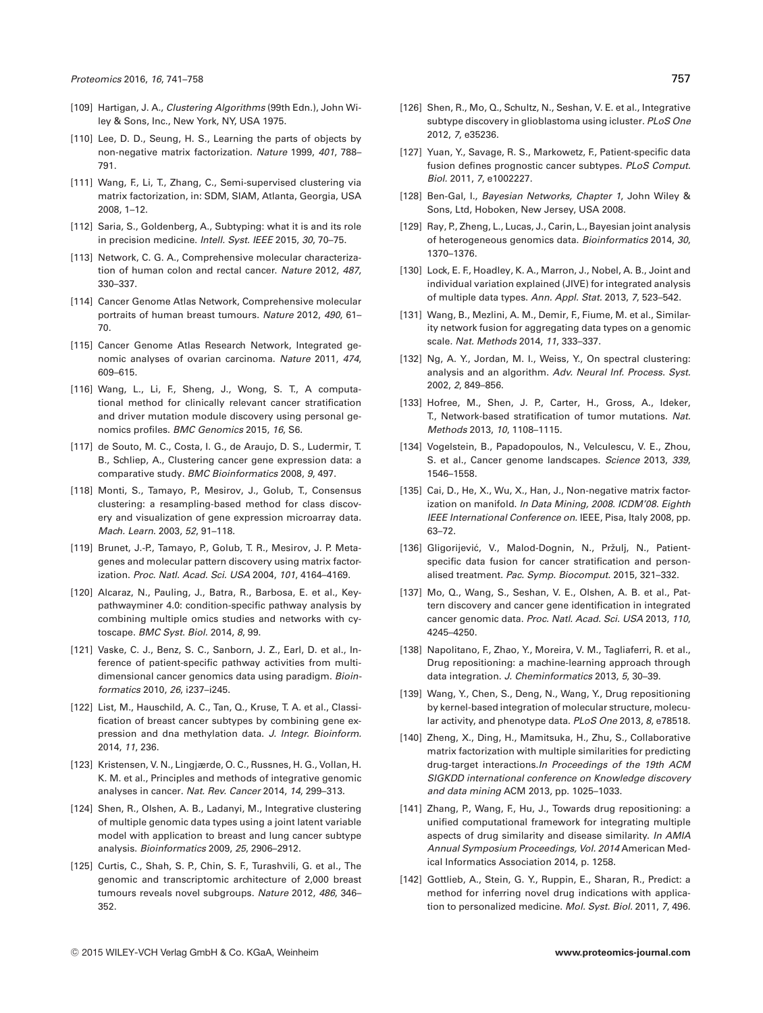- [109] Hartigan, J. A., *Clustering Algorithms* (99th Edn.), John Wiley & Sons, Inc., New York, NY, USA 1975.
- [110] Lee, D. D., Seung, H. S., Learning the parts of objects by non-negative matrix factorization. *Nature* 1999, *401*, 788– 791.
- [111] Wang, F., Li, T., Zhang, C., Semi-supervised clustering via matrix factorization, in: SDM, SIAM, Atlanta, Georgia, USA 2008, 1–12.
- [112] Saria, S., Goldenberg, A., Subtyping: what it is and its role in precision medicine. *Intell. Syst. IEEE* 2015, *30*, 70–75.
- [113] Network, C. G. A., Comprehensive molecular characterization of human colon and rectal cancer. *Nature* 2012, *487*, 330–337.
- [114] Cancer Genome Atlas Network, Comprehensive molecular portraits of human breast tumours. *Nature* 2012, *490*, 61– 70.
- [115] Cancer Genome Atlas Research Network, Integrated genomic analyses of ovarian carcinoma. *Nature* 2011, *474*, 609–615.
- [116] Wang, L., Li, F., Sheng, J., Wong, S. T., A computational method for clinically relevant cancer stratification and driver mutation module discovery using personal genomics profiles. *BMC Genomics* 2015, *16*, S6.
- [117] de Souto, M. C., Costa, I. G., de Araujo, D. S., Ludermir, T. B., Schliep, A., Clustering cancer gene expression data: a comparative study. *BMC Bioinformatics* 2008, *9*, 497.
- [118] Monti, S., Tamayo, P., Mesirov, J., Golub, T., Consensus clustering: a resampling-based method for class discovery and visualization of gene expression microarray data. *Mach. Learn.* 2003, *52*, 91–118.
- [119] Brunet, J.-P., Tamayo, P., Golub, T. R., Mesirov, J. P. Metagenes and molecular pattern discovery using matrix factorization. *Proc. Natl. Acad. Sci. USA* 2004, *101*, 4164–4169.
- [120] Alcaraz, N., Pauling, J., Batra, R., Barbosa, E. et al., Keypathwayminer 4.0: condition-specific pathway analysis by combining multiple omics studies and networks with cytoscape. *BMC Syst. Biol.* 2014, *8*, 99.
- [121] Vaske, C. J., Benz, S. C., Sanborn, J. Z., Earl, D. et al., Inference of patient-specific pathway activities from multidimensional cancer genomics data using paradigm. *Bioinformatics* 2010, *26*, i237–i245.
- [122] List, M., Hauschild, A. C., Tan, Q., Kruse, T. A. et al., Classification of breast cancer subtypes by combining gene expression and dna methylation data. *J. Integr. Bioinform.* 2014, *11*, 236.
- [123] Kristensen, V. N., Lingjærde, O. C., Russnes, H. G., Vollan, H. K. M. et al., Principles and methods of integrative genomic analyses in cancer. *Nat. Rev. Cancer* 2014, *14*, 299–313.
- [124] Shen, R., Olshen, A. B., Ladanyi, M., Integrative clustering of multiple genomic data types using a joint latent variable model with application to breast and lung cancer subtype analysis. *Bioinformatics* 2009, *25*, 2906–2912.
- [125] Curtis, C., Shah, S. P., Chin, S. F., Turashvili, G. et al., The genomic and transcriptomic architecture of 2,000 breast tumours reveals novel subgroups. *Nature* 2012, *486*, 346– 352.
- [126] Shen, R., Mo, Q., Schultz, N., Seshan, V. E. et al., Integrative subtype discovery in glioblastoma using icluster. *PLoS One* 2012, *7*, e35236.
- [127] Yuan, Y., Savage, R. S., Markowetz, F., Patient-specific data fusion defines prognostic cancer subtypes. *PLoS Comput. Biol.* 2011, *7*, e1002227.
- [128] Ben-Gal, I., *Bayesian Networks, Chapter 1*, John Wiley & Sons, Ltd, Hoboken, New Jersey, USA 2008.
- [129] Ray, P., Zheng, L., Lucas, J., Carin, L., Bayesian joint analysis of heterogeneous genomics data. *Bioinformatics* 2014, *30*, 1370–1376.
- [130] Lock, E. F., Hoadley, K. A., Marron, J., Nobel, A. B., Joint and individual variation explained (JIVE) for integrated analysis of multiple data types. *Ann. Appl. Stat.* 2013, *7*, 523–542.
- [131] Wang, B., Mezlini, A. M., Demir, F., Fiume, M. et al., Similarity network fusion for aggregating data types on a genomic scale. *Nat. Methods* 2014, *11*, 333–337.
- [132] Ng, A. Y., Jordan, M. I., Weiss, Y., On spectral clustering: analysis and an algorithm. *Adv. Neural Inf. Process. Syst.* 2002, *2*, 849–856.
- [133] Hofree, M., Shen, J. P., Carter, H., Gross, A., Ideker, T., Network-based stratification of tumor mutations. *Nat. Methods* 2013, *10*, 1108–1115.
- [134] Vogelstein, B., Papadopoulos, N., Velculescu, V. E., Zhou, S. et al., Cancer genome landscapes. *Science* 2013, *339*, 1546–1558.
- [135] Cai, D., He, X., Wu, X., Han, J., Non-negative matrix factorization on manifold. *In Data Mining, 2008. ICDM'08. Eighth IEEE International Conference on.* IEEE, Pisa, Italy 2008, pp. 63–72.
- [136] Gligorijević, V., Malod-Dognin, N., Pržulj, N., Patientspecific data fusion for cancer stratification and personalised treatment. *Pac. Symp. Biocomput.* 2015, 321–332.
- [137] Mo, Q., Wang, S., Seshan, V. E., Olshen, A. B. et al., Pattern discovery and cancer gene identification in integrated cancer genomic data. *Proc. Natl. Acad. Sci. USA* 2013, *110*, 4245–4250.
- [138] Napolitano, F., Zhao, Y., Moreira, V. M., Tagliaferri, R. et al., Drug repositioning: a machine-learning approach through data integration. *J. Cheminformatics* 2013, *5*, 30–39.
- [139] Wang, Y., Chen, S., Deng, N., Wang, Y., Drug repositioning by kernel-based integration of molecular structure, molecular activity, and phenotype data. *PLoS One* 2013, *8*, e78518.
- [140] Zheng, X., Ding, H., Mamitsuka, H., Zhu, S., Collaborative matrix factorization with multiple similarities for predicting drug-target interactions.*In Proceedings of the 19th ACM SIGKDD international conference on Knowledge discovery and data mining* ACM 2013, pp. 1025–1033.
- [141] Zhang, P., Wang, F., Hu, J., Towards drug repositioning: a unified computational framework for integrating multiple aspects of drug similarity and disease similarity. *In AMIA Annual Symposium Proceedings, Vol. 2014* American Medical Informatics Association 2014, p. 1258.
- [142] Gottlieb, A., Stein, G. Y., Ruppin, E., Sharan, R., Predict: a method for inferring novel drug indications with application to personalized medicine. *Mol. Syst. Biol.* 2011, *7*, 496.